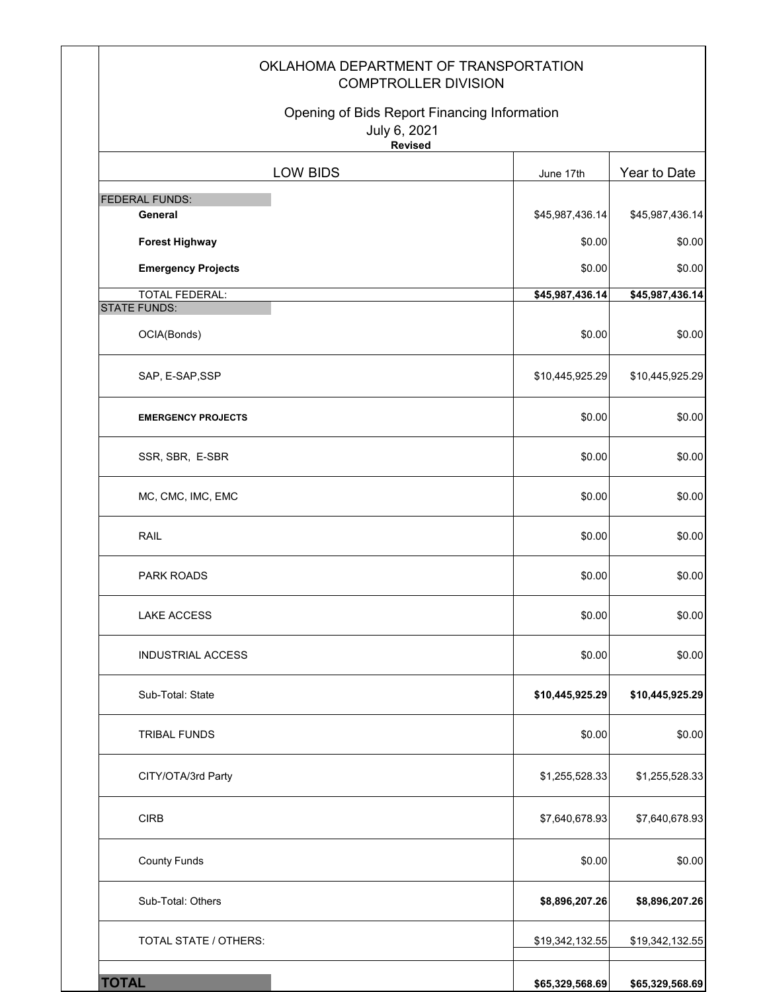|                                              | OKLAHOMA DEPARTMENT OF TRANSPORTATION<br><b>COMPTROLLER DIVISION</b> |                 |
|----------------------------------------------|----------------------------------------------------------------------|-----------------|
| July 6, 2021<br><b>Revised</b>               | Opening of Bids Report Financing Information                         |                 |
| <b>LOW BIDS</b>                              | June 17th                                                            | Year to Date    |
| <b>FEDERAL FUNDS:</b>                        |                                                                      |                 |
| General                                      | \$45,987,436.14                                                      | \$45,987,436.14 |
| <b>Forest Highway</b>                        | \$0.00                                                               | \$0.00          |
| <b>Emergency Projects</b>                    | \$0.00                                                               | \$0.00          |
| <b>TOTAL FEDERAL:</b><br><b>STATE FUNDS:</b> | \$45,987,436.14                                                      | \$45,987,436.14 |
| OCIA(Bonds)                                  | \$0.00                                                               | \$0.00          |
| SAP, E-SAP, SSP                              | \$10,445,925.29                                                      | \$10,445,925.29 |
| <b>EMERGENCY PROJECTS</b>                    | \$0.00                                                               | \$0.00          |
| SSR, SBR, E-SBR                              | \$0.00                                                               | \$0.00          |
| MC, CMC, IMC, EMC                            | \$0.00                                                               | \$0.00          |
| RAIL                                         | \$0.00                                                               | \$0.00          |
| PARK ROADS                                   | \$0.00                                                               | \$0.00          |
| <b>LAKE ACCESS</b>                           | \$0.00                                                               | \$0.00          |
| <b>INDUSTRIAL ACCESS</b>                     | \$0.00                                                               | \$0.00          |
| Sub-Total: State                             | \$10,445,925.29                                                      | \$10,445,925.29 |
| <b>TRIBAL FUNDS</b>                          | \$0.00                                                               | \$0.00          |
| CITY/OTA/3rd Party                           | \$1,255,528.33                                                       | \$1,255,528.33  |
| <b>CIRB</b>                                  | \$7,640,678.93                                                       | \$7,640,678.93  |
| <b>County Funds</b>                          | \$0.00                                                               | \$0.00          |
| Sub-Total: Others                            | \$8,896,207.26                                                       | \$8,896,207.26  |
| TOTAL STATE / OTHERS:                        | \$19,342,132.55                                                      | \$19,342,132.55 |
| <b>TOTAL</b>                                 | \$65,329,568.69                                                      | \$65,329,568.69 |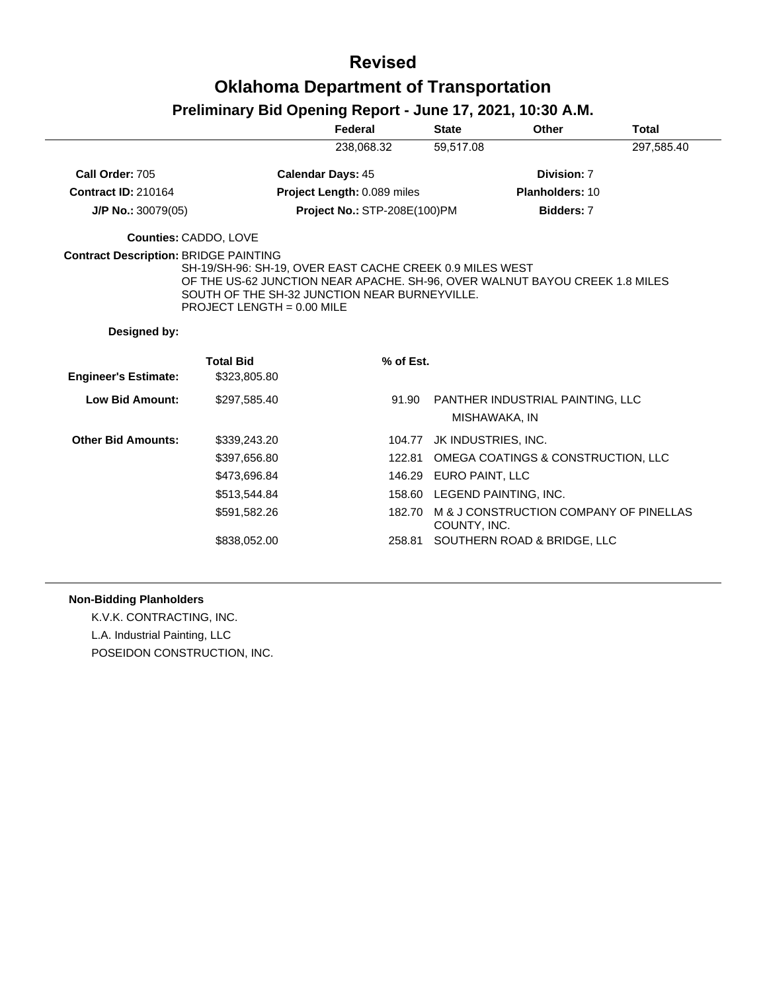## **Revised Oklahoma Department of Transportation**

### **Preliminary Bid Opening Report - June 17, 2021, 10:30 A.M.**

|                                              |                                                                                                                                                                                                                        | Federal                             | <b>State</b>                 | Other                                  | <b>Total</b> |
|----------------------------------------------|------------------------------------------------------------------------------------------------------------------------------------------------------------------------------------------------------------------------|-------------------------------------|------------------------------|----------------------------------------|--------------|
|                                              |                                                                                                                                                                                                                        | 238,068.32                          | 59,517.08                    |                                        | 297,585.40   |
| Call Order: 705                              |                                                                                                                                                                                                                        | <b>Calendar Days: 45</b>            |                              | Division: 7                            |              |
| <b>Contract ID: 210164</b>                   |                                                                                                                                                                                                                        | Project Length: 0.089 miles         |                              | Planholders: 10                        |              |
| $J/P$ No.: 30079(05)                         |                                                                                                                                                                                                                        | <b>Project No.: STP-208E(100)PM</b> |                              | Bidders: 7                             |              |
| Counties: CADDO, LOVE                        |                                                                                                                                                                                                                        |                                     |                              |                                        |              |
| <b>Contract Description: BRIDGE PAINTING</b> | SH-19/SH-96: SH-19, OVER EAST CACHE CREEK 0.9 MILES WEST<br>OF THE US-62 JUNCTION NEAR APACHE. SH-96, OVER WALNUT BAYOU CREEK 1.8 MILES<br>SOUTH OF THE SH-32 JUNCTION NEAR BURNEYVILLE.<br>PROJECT LENGTH = 0.00 MILE |                                     |                              |                                        |              |
|                                              |                                                                                                                                                                                                                        |                                     |                              |                                        |              |
| Designed by:                                 |                                                                                                                                                                                                                        |                                     |                              |                                        |              |
|                                              | <b>Total Bid</b>                                                                                                                                                                                                       | % of Est.                           |                              |                                        |              |
| <b>Engineer's Estimate:</b>                  | \$323,805.80                                                                                                                                                                                                           |                                     |                              |                                        |              |
| <b>Low Bid Amount:</b>                       | \$297.585.40                                                                                                                                                                                                           | 91.90                               | MISHAWAKA, IN                | PANTHER INDUSTRIAL PAINTING, LLC       |              |
| <b>Other Bid Amounts:</b>                    | \$339,243.20                                                                                                                                                                                                           | 104.77                              | JK INDUSTRIES, INC.          |                                        |              |
|                                              | \$397,656.80                                                                                                                                                                                                           | 122.81                              |                              | OMEGA COATINGS & CONSTRUCTION, LLC     |              |
|                                              | \$473,696.84                                                                                                                                                                                                           | 146.29                              | EURO PAINT, LLC              |                                        |              |
|                                              | \$513,544.84                                                                                                                                                                                                           |                                     | 158.60 LEGEND PAINTING, INC. |                                        |              |
|                                              | \$591,582.26                                                                                                                                                                                                           | 182.70                              | COUNTY, INC.                 | M & J CONSTRUCTION COMPANY OF PINELLAS |              |

#### **Non-Bidding Planholders**

K.V.K. CONTRACTING, INC. L.A. Industrial Painting, LLC POSEIDON CONSTRUCTION, INC.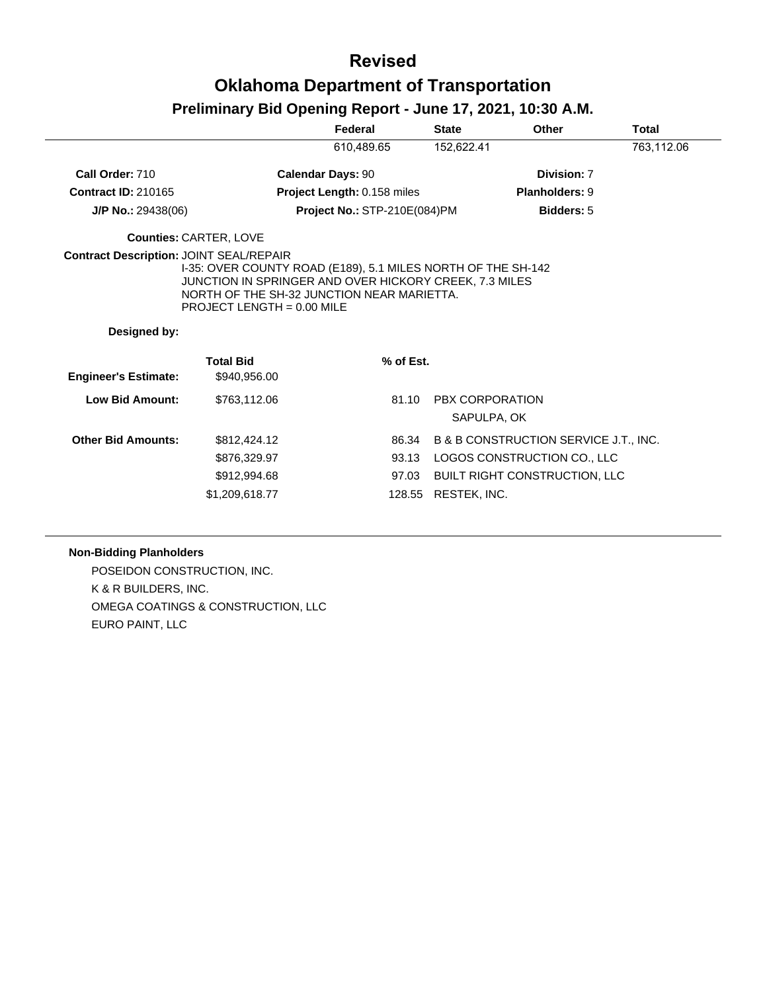## **Revised Oklahoma Department of Transportation**

#### **Preliminary Bid Opening Report - June 17, 2021, 10:30 A.M.**

|                             |                                                                                                                                      | Federal                      | <b>State</b>           | Other                                            | <b>Total</b> |
|-----------------------------|--------------------------------------------------------------------------------------------------------------------------------------|------------------------------|------------------------|--------------------------------------------------|--------------|
|                             |                                                                                                                                      | 610.489.65                   | 152,622.41             |                                                  | 763,112.06   |
| Call Order: 710             |                                                                                                                                      | <b>Calendar Days: 90</b>     |                        | Division: 7                                      |              |
| <b>Contract ID: 210165</b>  |                                                                                                                                      | Project Length: 0.158 miles  |                        | <b>Planholders: 9</b>                            |              |
| $J/P$ No.: 29438(06)        |                                                                                                                                      | Project No.: STP-210E(084)PM |                        | <b>Bidders: 5</b>                                |              |
|                             | <b>Counties: CARTER, LOVE</b>                                                                                                        |                              |                        |                                                  |              |
|                             | JUNCTION IN SPRINGER AND OVER HICKORY CREEK, 7.3 MILES<br>NORTH OF THE SH-32 JUNCTION NEAR MARIETTA.<br>PROJECT LENGTH = $0.00$ MILE |                              |                        |                                                  |              |
| Designed by:                |                                                                                                                                      |                              |                        |                                                  |              |
|                             | <b>Total Bid</b>                                                                                                                     | % of Est.                    |                        |                                                  |              |
| <b>Engineer's Estimate:</b> | \$940,956.00                                                                                                                         |                              |                        |                                                  |              |
| <b>Low Bid Amount:</b>      | \$763,112.06                                                                                                                         | 81.10                        | <b>PBX CORPORATION</b> | SAPULPA, OK                                      |              |
| <b>Other Bid Amounts:</b>   | \$812,424.12                                                                                                                         | 86.34                        |                        | <b>B &amp; B CONSTRUCTION SERVICE J.T., INC.</b> |              |
|                             | \$876,329.97                                                                                                                         | 93.13                        |                        | LOGOS CONSTRUCTION CO., LLC                      |              |
|                             | \$912,994.68                                                                                                                         | 97.03                        |                        | <b>BUILT RIGHT CONSTRUCTION, LLC</b>             |              |

#### **Non-Bidding Planholders**

POSEIDON CONSTRUCTION, INC. K & R BUILDERS, INC. OMEGA COATINGS & CONSTRUCTION, LLC EURO PAINT, LLC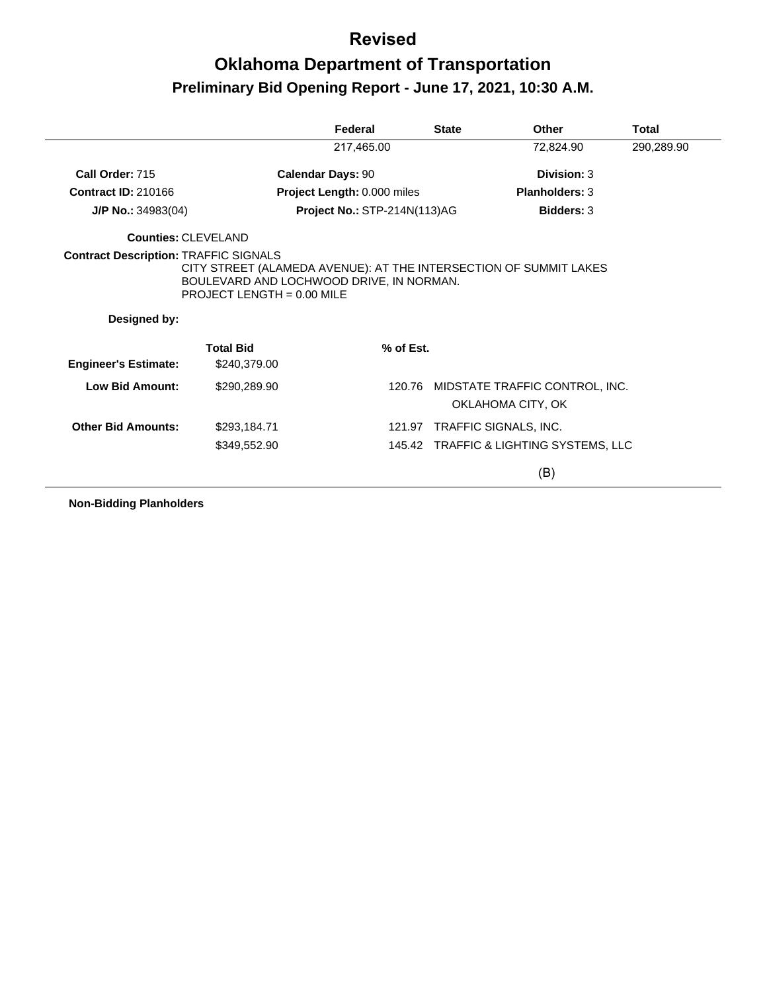# **Oklahoma Department of Transportation Preliminary Bid Opening Report - June 17, 2021, 10:30 A.M.**

|                             |                                                                                                                                               | Federal                      | <b>State</b> | Other                                               | <b>Total</b> |
|-----------------------------|-----------------------------------------------------------------------------------------------------------------------------------------------|------------------------------|--------------|-----------------------------------------------------|--------------|
|                             |                                                                                                                                               | 217,465.00                   |              | 72,824.90                                           | 290,289.90   |
| Call Order: 715             |                                                                                                                                               | <b>Calendar Days: 90</b>     |              | Division: 3                                         |              |
| <b>Contract ID: 210166</b>  |                                                                                                                                               | Project Length: 0.000 miles  |              | <b>Planholders: 3</b>                               |              |
| $J/P$ No.: 34983(04)        |                                                                                                                                               | Project No.: STP-214N(113)AG |              | <b>Bidders: 3</b>                                   |              |
| <b>Counties: CLEVELAND</b>  |                                                                                                                                               |                              |              |                                                     |              |
| Designed by:                | CITY STREET (ALAMEDA AVENUE): AT THE INTERSECTION OF SUMMIT LAKES<br>BOULEVARD AND LOCHWOOD DRIVE, IN NORMAN.<br>PROJECT LENGTH = $0.00$ MILE |                              |              |                                                     |              |
|                             | <b>Total Bid</b>                                                                                                                              | % of Est.                    |              |                                                     |              |
| <b>Engineer's Estimate:</b> | \$240,379.00                                                                                                                                  |                              |              |                                                     |              |
| Low Bid Amount:             | \$290,289.90                                                                                                                                  |                              | 120.76       | MIDSTATE TRAFFIC CONTROL, INC.<br>OKLAHOMA CITY, OK |              |
| <b>Other Bid Amounts:</b>   | \$293,184.71                                                                                                                                  |                              |              | 121.97 TRAFFIC SIGNALS, INC.                        |              |
|                             | \$349,552.90                                                                                                                                  |                              |              | 145.42 TRAFFIC & LIGHTING SYSTEMS, LLC              |              |
|                             |                                                                                                                                               |                              |              | (B)                                                 |              |

**Non-Bidding Planholders**

 $\overline{a}$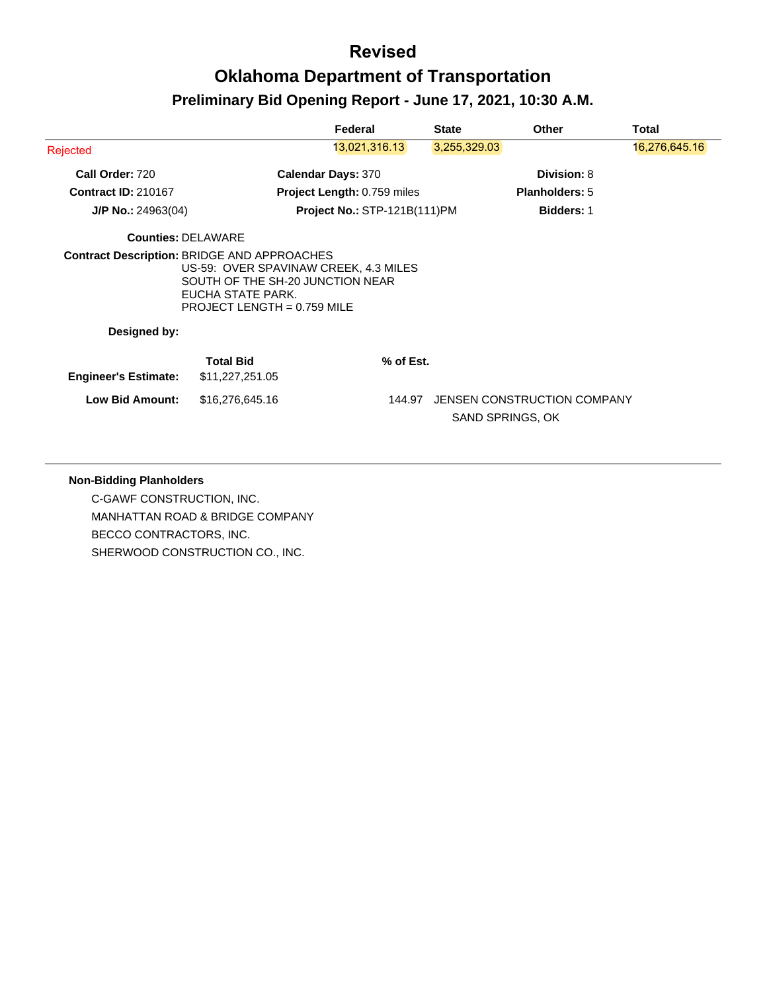|                                                    |                                                                                        | Federal                               | <b>State</b>     | <b>Other</b>                | Total         |
|----------------------------------------------------|----------------------------------------------------------------------------------------|---------------------------------------|------------------|-----------------------------|---------------|
| Rejected                                           |                                                                                        | 13,021,316.13                         | 3,255,329.03     |                             | 16,276,645.16 |
| Call Order: 720                                    |                                                                                        | <b>Calendar Days: 370</b>             |                  | Division: 8                 |               |
| <b>Contract ID: 210167</b>                         |                                                                                        | Project Length: 0.759 miles           |                  | <b>Planholders: 5</b>       |               |
| $J/P$ No.: 24963(04)                               |                                                                                        | <b>Project No.: STP-121B(111)PM</b>   |                  | <b>Bidders: 1</b>           |               |
| <b>Counties: DELAWARE</b>                          |                                                                                        |                                       |                  |                             |               |
| <b>Contract Description: BRIDGE AND APPROACHES</b> | SOUTH OF THE SH-20 JUNCTION NEAR<br>EUCHA STATE PARK.<br>PROJECT LENGTH = $0.759$ MILE | US-59: OVER SPAVINAW CREEK, 4.3 MILES |                  |                             |               |
| Designed by:                                       |                                                                                        |                                       |                  |                             |               |
| <b>Engineer's Estimate:</b>                        | <b>Total Bid</b><br>\$11,227,251.05                                                    | % of Est.                             |                  |                             |               |
| <b>Low Bid Amount:</b>                             | \$16,276,645.16                                                                        | 144.97                                | SAND SPRINGS, OK | JENSEN CONSTRUCTION COMPANY |               |
|                                                    |                                                                                        |                                       |                  |                             |               |

#### **Non-Bidding Planholders**

C-GAWF CONSTRUCTION, INC. MANHATTAN ROAD & BRIDGE COMPANY BECCO CONTRACTORS, INC. SHERWOOD CONSTRUCTION CO., INC.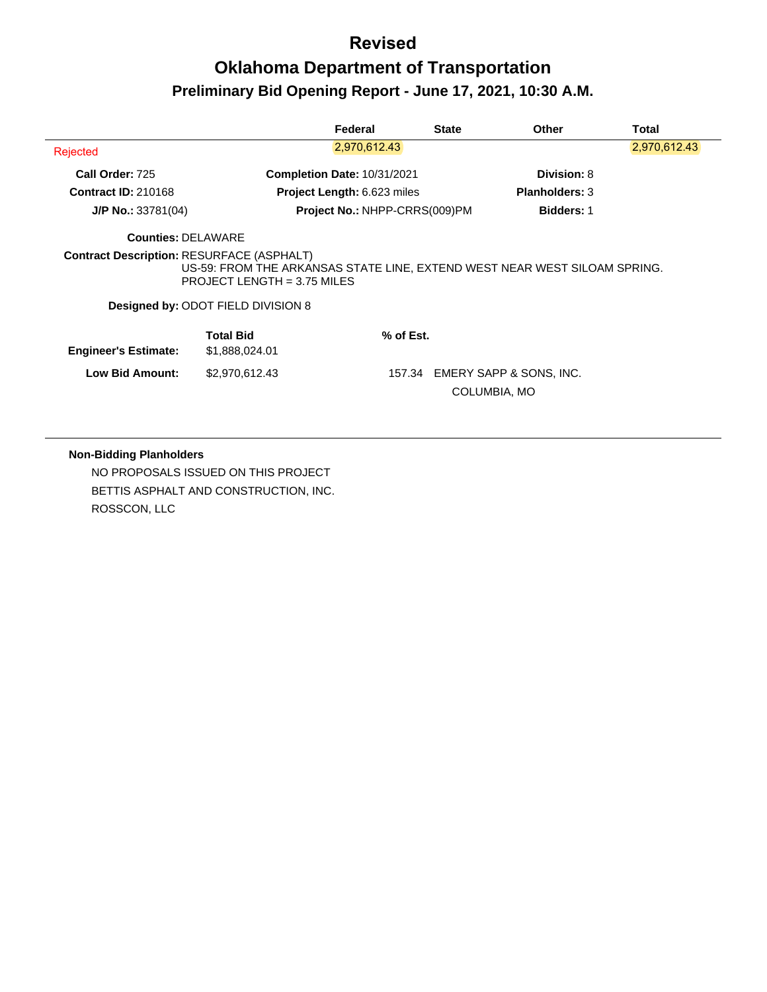# **Oklahoma Department of Transportation Preliminary Bid Opening Report - June 17, 2021, 10:30 A.M.**

|                                                  |                                                                            | Federal                            | <b>State</b> | <b>Other</b>                                                              | <b>Total</b> |
|--------------------------------------------------|----------------------------------------------------------------------------|------------------------------------|--------------|---------------------------------------------------------------------------|--------------|
| Rejected                                         |                                                                            | 2,970,612.43                       |              |                                                                           | 2,970,612.43 |
| Call Order: 725                                  |                                                                            | <b>Completion Date: 10/31/2021</b> |              | Division: 8                                                               |              |
| <b>Contract ID: 210168</b>                       |                                                                            | Project Length: 6.623 miles        |              | <b>Planholders: 3</b>                                                     |              |
| $J/P$ No.: 33781(04)                             |                                                                            | Project No.: NHPP-CRRS(009)PM      |              | <b>Bidders: 1</b>                                                         |              |
| <b>Counties: DELAWARE</b>                        |                                                                            |                                    |              |                                                                           |              |
| <b>Contract Description: RESURFACE (ASPHALT)</b> | PROJECT LENGTH = $3.75$ MILES<br><b>Designed by: ODOT FIELD DIVISION 8</b> |                                    |              | US-59: FROM THE ARKANSAS STATE LINE, EXTEND WEST NEAR WEST SILOAM SPRING. |              |
| <b>Engineer's Estimate:</b>                      | <b>Total Bid</b><br>\$1,888,024.01                                         | % of Est.                          |              |                                                                           |              |
| <b>Low Bid Amount:</b>                           | \$2,970,612.43                                                             |                                    | 157.34       | EMERY SAPP & SONS, INC.<br>COLUMBIA, MO                                   |              |
|                                                  |                                                                            |                                    |              |                                                                           |              |

#### **Non-Bidding Planholders**

NO PROPOSALS ISSUED ON THIS PROJECT BETTIS ASPHALT AND CONSTRUCTION, INC. ROSSCON, LLC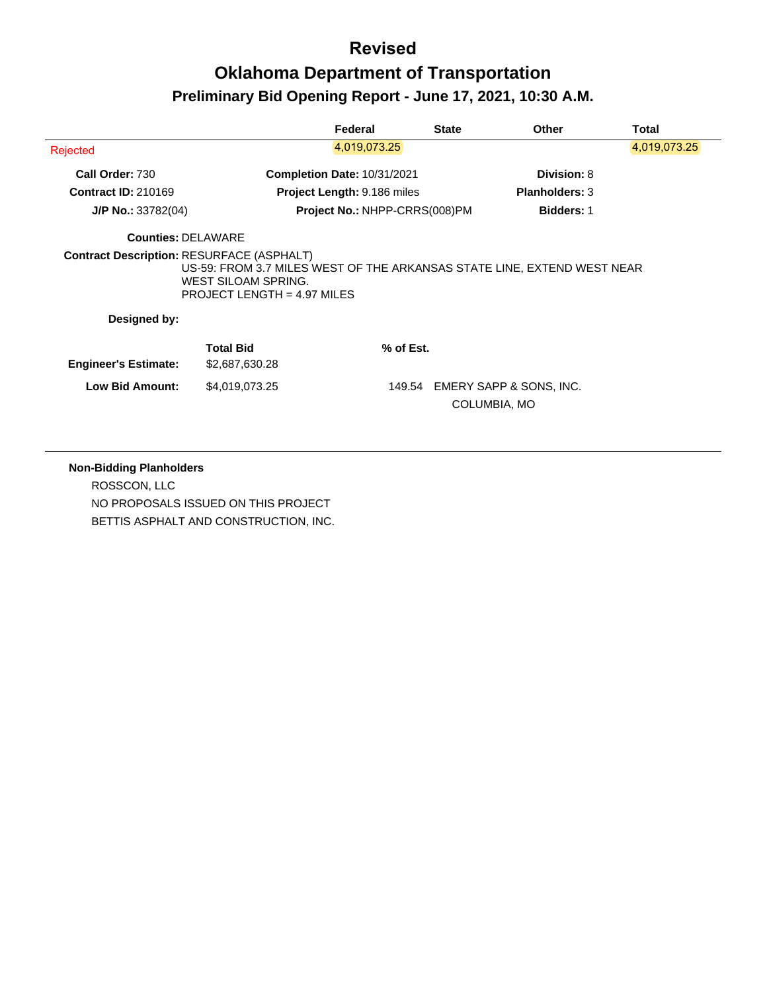## **Oklahoma Department of Transportation Preliminary Bid Opening Report - June 17, 2021, 10:30 A.M.**

|                                    | Federal                   | <b>State</b>                                                                                                                                                                | Other                                                | Total                                                                                                              |
|------------------------------------|---------------------------|-----------------------------------------------------------------------------------------------------------------------------------------------------------------------------|------------------------------------------------------|--------------------------------------------------------------------------------------------------------------------|
|                                    | 4,019,073.25              |                                                                                                                                                                             |                                                      | 4,019,073.25                                                                                                       |
|                                    |                           |                                                                                                                                                                             | Division: 8                                          |                                                                                                                    |
|                                    |                           |                                                                                                                                                                             | <b>Planholders: 3</b>                                |                                                                                                                    |
|                                    |                           |                                                                                                                                                                             | <b>Bidders: 1</b>                                    |                                                                                                                    |
|                                    |                           |                                                                                                                                                                             |                                                      |                                                                                                                    |
|                                    |                           |                                                                                                                                                                             |                                                      |                                                                                                                    |
|                                    |                           |                                                                                                                                                                             |                                                      |                                                                                                                    |
| <b>Total Bid</b><br>\$2,687,630.28 |                           |                                                                                                                                                                             |                                                      |                                                                                                                    |
| \$4,019,073.25                     |                           |                                                                                                                                                                             |                                                      |                                                                                                                    |
|                                    | <b>Counties: DELAWARE</b> | Completion Date: 10/31/2021<br>Project Length: 9.186 miles<br><b>Contract Description: RESURFACE (ASPHALT)</b><br>WEST SILOAM SPRING.<br><b>PROJECT LENGTH = 4.97 MILES</b> | Project No.: NHPP-CRRS(008)PM<br>% of Est.<br>149.54 | US-59: FROM 3.7 MILES WEST OF THE ARKANSAS STATE LINE, EXTEND WEST NEAR<br>EMERY SAPP & SONS, INC.<br>COLUMBIA, MO |

**Non-Bidding Planholders** ROSSCON, LLC NO PROPOSALS ISSUED ON THIS PROJECT BETTIS ASPHALT AND CONSTRUCTION, INC.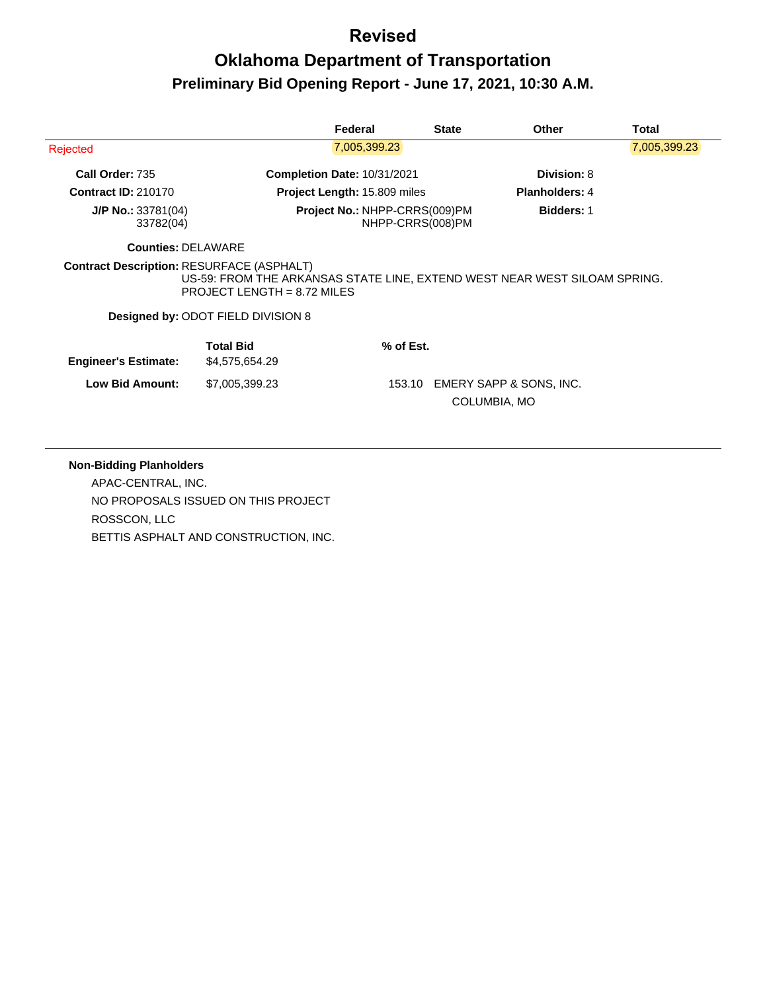# **Oklahoma Department of Transportation Preliminary Bid Opening Report - June 17, 2021, 10:30 A.M.**

|                                                  |                                    | Federal                             | <b>State</b>     | <b>Other</b>                                                              | Total        |
|--------------------------------------------------|------------------------------------|-------------------------------------|------------------|---------------------------------------------------------------------------|--------------|
| Rejected                                         |                                    | 7,005,399.23                        |                  |                                                                           | 7,005,399.23 |
| Call Order: 735                                  |                                    | <b>Completion Date: 10/31/2021</b>  |                  | <b>Division: 8</b>                                                        |              |
| <b>Contract ID: 210170</b>                       |                                    | <b>Project Length: 15.809 miles</b> |                  | <b>Planholders: 4</b>                                                     |              |
| $J/P$ No.: 33781(04)<br>33782(04)                |                                    | Project No.: NHPP-CRRS(009)PM       | NHPP-CRRS(008)PM | <b>Bidders: 1</b>                                                         |              |
| <b>Counties: DELAWARE</b>                        |                                    |                                     |                  |                                                                           |              |
| <b>Contract Description: RESURFACE (ASPHALT)</b> | PROJECT LENGTH = $8.72$ MILES      |                                     |                  | US-59: FROM THE ARKANSAS STATE LINE, EXTEND WEST NEAR WEST SILOAM SPRING. |              |
|                                                  | Designed by: ODOT FIELD DIVISION 8 |                                     |                  |                                                                           |              |
| <b>Engineer's Estimate:</b>                      | <b>Total Bid</b><br>\$4,575,654.29 | $%$ of Est.                         |                  |                                                                           |              |
| <b>Low Bid Amount:</b>                           | \$7,005,399.23                     |                                     | 153.10           | EMERY SAPP & SONS, INC.<br>COLUMBIA, MO                                   |              |

#### **Non-Bidding Planholders**

APAC-CENTRAL, INC. NO PROPOSALS ISSUED ON THIS PROJECT ROSSCON, LLC BETTIS ASPHALT AND CONSTRUCTION, INC.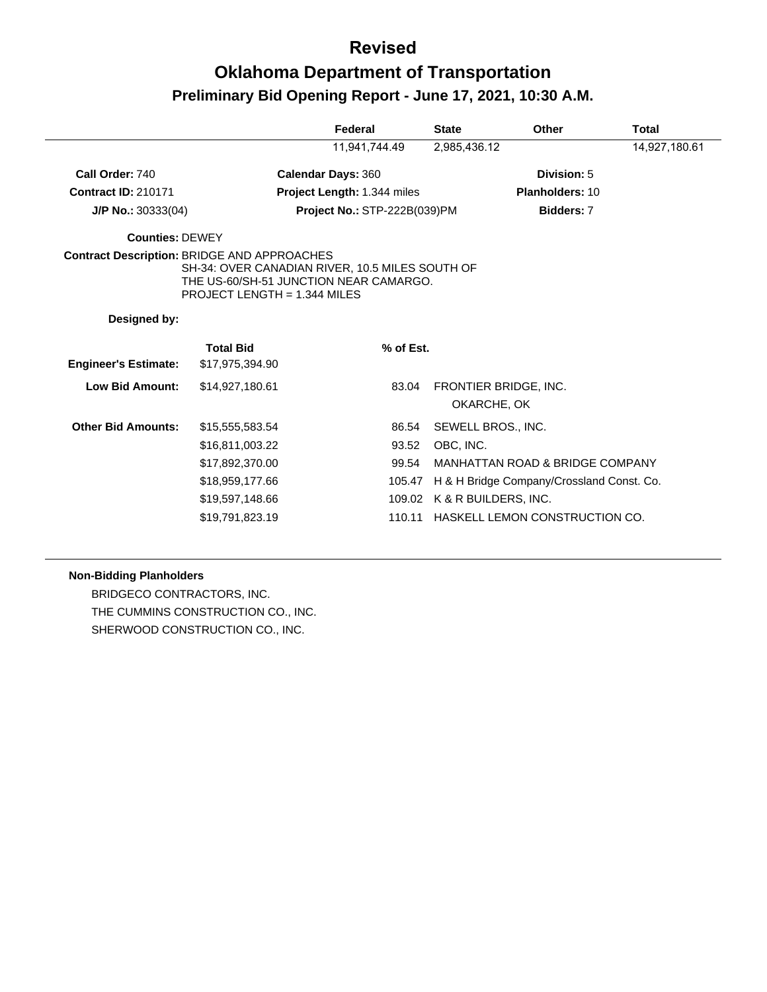# **Oklahoma Department of Transportation Preliminary Bid Opening Report - June 17, 2021, 10:30 A.M.**

|                             |                                                                                                                                                                                        | Federal                      | <b>State</b> | Other                                                 | Total         |
|-----------------------------|----------------------------------------------------------------------------------------------------------------------------------------------------------------------------------------|------------------------------|--------------|-------------------------------------------------------|---------------|
|                             |                                                                                                                                                                                        | 11,941,744.49                | 2,985,436.12 |                                                       | 14,927,180.61 |
| Call Order: 740             |                                                                                                                                                                                        | <b>Calendar Days: 360</b>    |              | Division: 5                                           |               |
| <b>Contract ID: 210171</b>  |                                                                                                                                                                                        | Project Length: 1.344 miles  |              | Planholders: 10                                       |               |
| $J/P$ No.: 30333(04)        |                                                                                                                                                                                        | Project No.: STP-222B(039)PM |              | Bidders: 7                                            |               |
| <b>Counties: DEWEY</b>      |                                                                                                                                                                                        |                              |              |                                                       |               |
|                             | <b>Contract Description: BRIDGE AND APPROACHES</b><br>SH-34: OVER CANADIAN RIVER, 10.5 MILES SOUTH OF<br>THE US-60/SH-51 JUNCTION NEAR CAMARGO.<br><b>PROJECT LENGTH = 1.344 MILES</b> |                              |              |                                                       |               |
| Designed by:                |                                                                                                                                                                                        |                              |              |                                                       |               |
| <b>Engineer's Estimate:</b> | <b>Total Bid</b><br>\$17,975,394.90                                                                                                                                                    | % of Est.                    |              |                                                       |               |
| <b>Low Bid Amount:</b>      | \$14,927,180.61                                                                                                                                                                        | 83.04                        |              | FRONTIER BRIDGE, INC.<br>OKARCHE, OK                  |               |
| <b>Other Bid Amounts:</b>   | \$15,555,583.54<br>\$16,811,003.22<br>\$17,892,370.00                                                                                                                                  | 86.54<br>93.52<br>99.54      | OBC, INC.    | SEWELL BROS., INC.<br>MANHATTAN ROAD & BRIDGE COMPANY |               |

#### **Non-Bidding Planholders**

BRIDGECO CONTRACTORS, INC. THE CUMMINS CONSTRUCTION CO., INC. SHERWOOD CONSTRUCTION CO., INC.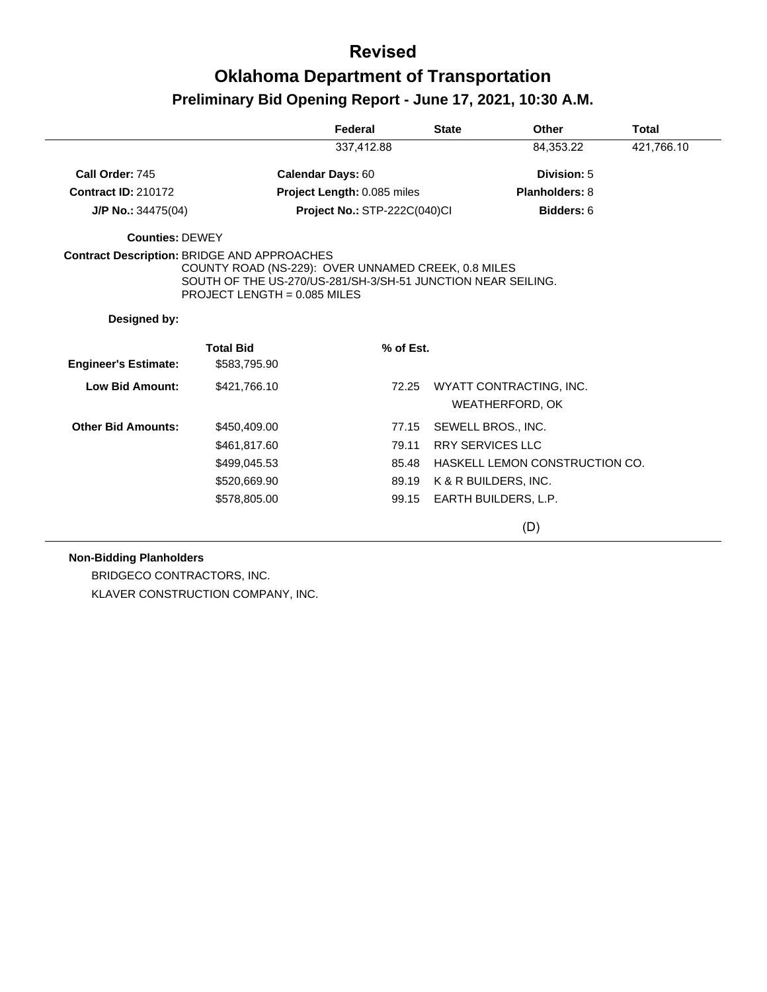|                             |                                                                                                                                                                                                             | Federal                      | <b>State</b> | <b>Other</b>                                      | <b>Total</b> |
|-----------------------------|-------------------------------------------------------------------------------------------------------------------------------------------------------------------------------------------------------------|------------------------------|--------------|---------------------------------------------------|--------------|
|                             |                                                                                                                                                                                                             | 337,412.88                   |              | 84,353.22                                         | 421,766.10   |
| Call Order: 745             |                                                                                                                                                                                                             | Calendar Days: 60            |              | Division: 5                                       |              |
| <b>Contract ID: 210172</b>  |                                                                                                                                                                                                             | Project Length: 0.085 miles  |              | Planholders: 8                                    |              |
| J/P No.: 34475(04)          |                                                                                                                                                                                                             | Project No.: STP-222C(040)Cl |              | Bidders: 6                                        |              |
| <b>Counties: DEWEY</b>      |                                                                                                                                                                                                             |                              |              |                                                   |              |
|                             | <b>Contract Description: BRIDGE AND APPROACHES</b><br>COUNTY ROAD (NS-229): OVER UNNAMED CREEK, 0.8 MILES<br>SOUTH OF THE US-270/US-281/SH-3/SH-51 JUNCTION NEAR SEILING.<br>PROJECT LENGTH = $0.085$ MILES |                              |              |                                                   |              |
| Designed by:                |                                                                                                                                                                                                             |                              |              |                                                   |              |
| <b>Engineer's Estimate:</b> | <b>Total Bid</b><br>\$583,795.90                                                                                                                                                                            | % of Est.                    |              |                                                   |              |
| <b>Low Bid Amount:</b>      | \$421,766.10                                                                                                                                                                                                | 72.25                        |              | WYATT CONTRACTING, INC.<br><b>WEATHERFORD, OK</b> |              |
| <b>Other Bid Amounts:</b>   | \$450,409.00                                                                                                                                                                                                | 77.15                        |              | SEWELL BROS., INC.                                |              |
|                             | \$461,817.60                                                                                                                                                                                                | 79.11                        |              | <b>RRY SERVICES LLC</b>                           |              |
|                             | \$499,045.53                                                                                                                                                                                                | 85.48                        |              | HASKELL LEMON CONSTRUCTION CO.                    |              |
|                             | \$520,669.90                                                                                                                                                                                                | 89.19                        |              | K & R BUILDERS, INC.                              |              |
|                             | \$578,805.00                                                                                                                                                                                                | 99.15                        |              | EARTH BUILDERS, L.P.                              |              |
|                             |                                                                                                                                                                                                             |                              |              | (D)                                               |              |

#### **Non-Bidding Planholders**

BRIDGECO CONTRACTORS, INC. KLAVER CONSTRUCTION COMPANY, INC.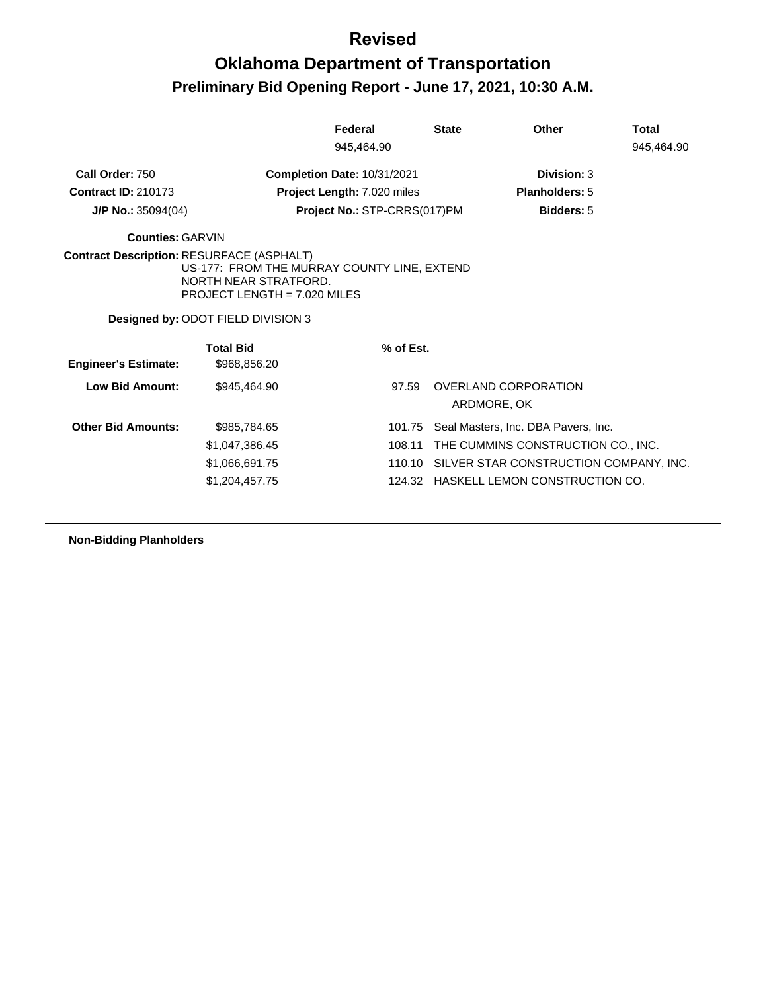## **Oklahoma Department of Transportation Preliminary Bid Opening Report - June 17, 2021, 10:30 A.M.**

|                             |                                                                      | Federal                      | <b>State</b> | Other                                  | Total      |
|-----------------------------|----------------------------------------------------------------------|------------------------------|--------------|----------------------------------------|------------|
|                             |                                                                      | 945,464.90                   |              |                                        | 945,464.90 |
| Call Order: 750             |                                                                      | Completion Date: 10/31/2021  |              | Division: 3                            |            |
| <b>Contract ID: 210173</b>  |                                                                      | Project Length: 7.020 miles  |              | <b>Planholders: 5</b>                  |            |
| $J/P$ No.: 35094(04)        |                                                                      | Project No.: STP-CRRS(017)PM |              | <b>Bidders: 5</b>                      |            |
| <b>Counties: GARVIN</b>     |                                                                      |                              |              |                                        |            |
|                             | US-177: FROM THE MURRAY COUNTY LINE, EXTEND<br>NORTH NEAR STRATFORD. |                              |              |                                        |            |
|                             | PROJECT LENGTH = $7.020$ MILES<br>Designed by: ODOT FIELD DIVISION 3 |                              |              |                                        |            |
| <b>Engineer's Estimate:</b> | <b>Total Bid</b><br>\$968,856.20                                     | % of Est.                    |              |                                        |            |
| Low Bid Amount:             | \$945,464.90                                                         | 97.59                        |              | OVERLAND CORPORATION<br>ARDMORE, OK    |            |
| <b>Other Bid Amounts:</b>   | \$985,784.65                                                         | 101.75                       |              | Seal Masters, Inc. DBA Pavers, Inc.    |            |
|                             | \$1,047,386.45                                                       | 108.11                       |              | THE CUMMINS CONSTRUCTION CO., INC.     |            |
|                             | \$1,066,691.75                                                       | 110.10                       |              | SILVER STAR CONSTRUCTION COMPANY, INC. |            |

**Non-Bidding Planholders**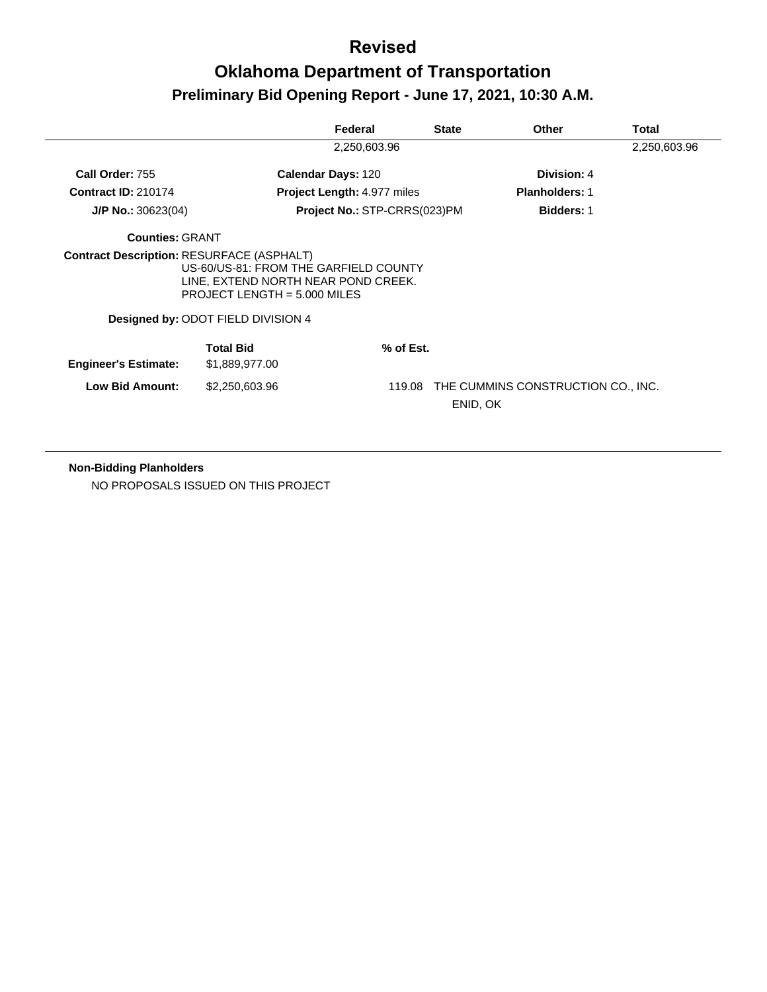# **Oklahoma Department of Transportation Preliminary Bid Opening Report - June 17, 2021, 10:30 A.M.**

|                             |                                                                                                                                                      | Federal                            | <b>State</b> | <b>Other</b>                       | Total        |
|-----------------------------|------------------------------------------------------------------------------------------------------------------------------------------------------|------------------------------------|--------------|------------------------------------|--------------|
|                             |                                                                                                                                                      | 2,250,603.96                       |              |                                    | 2,250,603.96 |
| Call Order: 755             |                                                                                                                                                      | <b>Calendar Days: 120</b>          |              | Division: 4                        |              |
| <b>Contract ID: 210174</b>  |                                                                                                                                                      | <b>Project Length: 4.977 miles</b> |              | <b>Planholders: 1</b>              |              |
| $J/P$ No.: 30623(04)        |                                                                                                                                                      | Project No.: STP-CRRS(023)PM       |              | <b>Bidders: 1</b>                  |              |
| <b>Counties: GRANT</b>      |                                                                                                                                                      |                                    |              |                                    |              |
|                             | US-60/US-81: FROM THE GARFIELD COUNTY<br>LINE, EXTEND NORTH NEAR POND CREEK.<br>PROJECT LENGTH = $5.000$ MILES<br>Designed by: ODOT FIELD DIVISION 4 |                                    |              |                                    |              |
| <b>Engineer's Estimate:</b> | <b>Total Bid</b><br>\$1,889,977.00                                                                                                                   | % of Est.                          |              |                                    |              |
| <b>Low Bid Amount:</b>      | \$2,250,603.96                                                                                                                                       | 119.08                             | ENID, OK     | THE CUMMINS CONSTRUCTION CO., INC. |              |

#### **Non-Bidding Planholders**

NO PROPOSALS ISSUED ON THIS PROJECT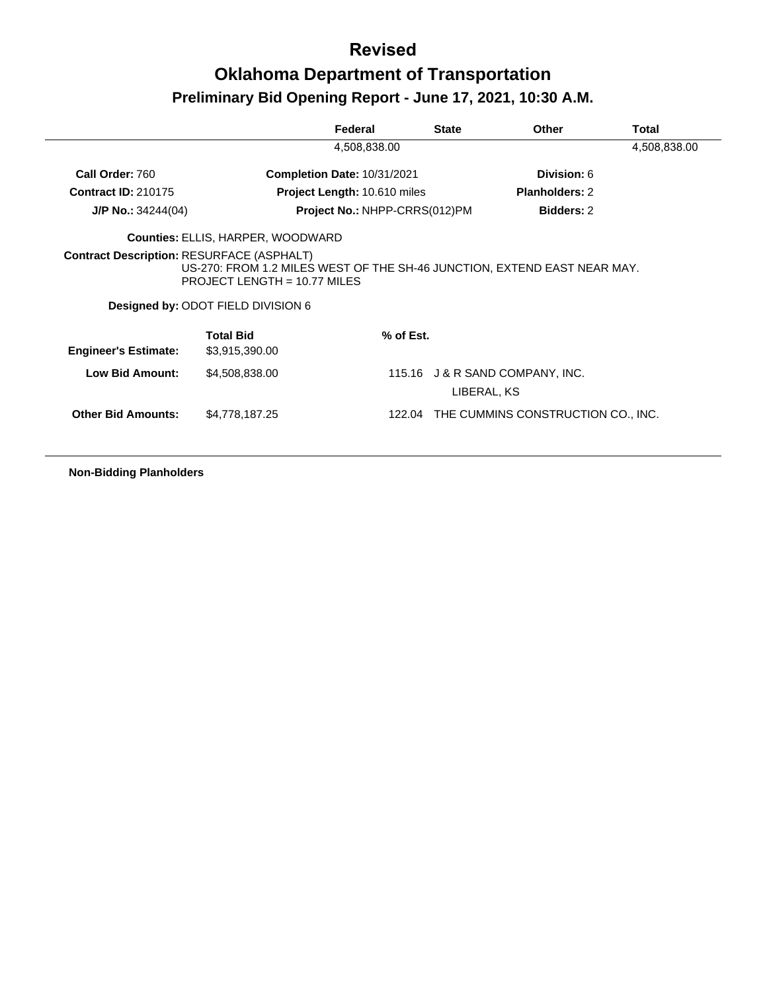|                                                  |                                                                                                                                                  | Federal                                            | <b>State</b> | <b>Other</b>                       | Total        |
|--------------------------------------------------|--------------------------------------------------------------------------------------------------------------------------------------------------|----------------------------------------------------|--------------|------------------------------------|--------------|
|                                                  |                                                                                                                                                  | 4,508,838.00                                       |              |                                    | 4,508,838.00 |
| Call Order: 760                                  |                                                                                                                                                  | <b>Completion Date: 10/31/2021</b>                 |              |                                    |              |
| <b>Contract ID: 210175</b>                       |                                                                                                                                                  | Project Length: 10.610 miles                       |              |                                    |              |
| <b>J/P No.:</b> $34244(04)$                      |                                                                                                                                                  | Project No.: NHPP-CRRS(012)PM<br><b>Bidders: 2</b> |              |                                    |              |
|                                                  | <b>Counties: ELLIS, HARPER, WOODWARD</b>                                                                                                         |                                                    |              |                                    |              |
| <b>Contract Description: RESURFACE (ASPHALT)</b> | US-270: FROM 1.2 MILES WEST OF THE SH-46 JUNCTION, EXTEND EAST NEAR MAY.<br>PROJECT LENGTH = $10.77$ MILES<br>Designed by: ODOT FIELD DIVISION 6 |                                                    |              |                                    |              |
| <b>Engineer's Estimate:</b>                      | <b>Total Bid</b><br>\$3,915,390.00                                                                                                               | % of Est.                                          |              |                                    |              |
| <b>Low Bid Amount:</b>                           | \$4,508,838.00                                                                                                                                   |                                                    | LIBERAL, KS  | 115.16 J & R SAND COMPANY, INC.    |              |
| <b>Other Bid Amounts:</b>                        | \$4,778,187.25                                                                                                                                   | 122.04                                             |              | THE CUMMINS CONSTRUCTION CO., INC. |              |
|                                                  |                                                                                                                                                  |                                                    |              |                                    |              |

**Non-Bidding Planholders**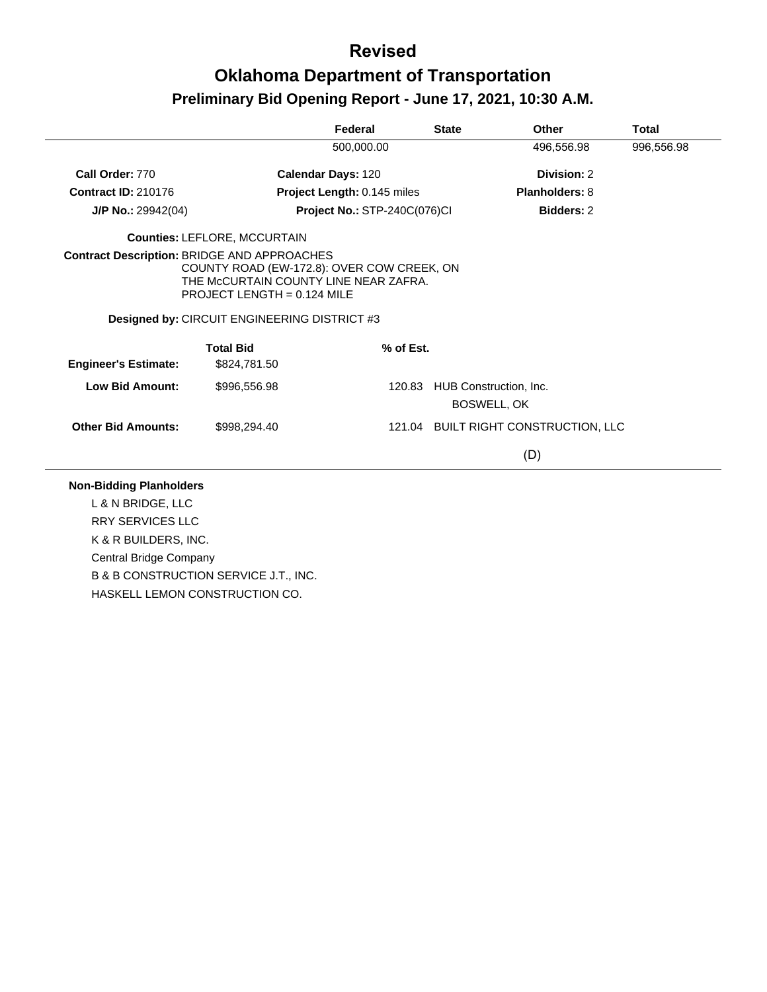|                                                    |                                                                                                                      | Federal                      | <b>State</b> | Other                                 | <b>Total</b> |
|----------------------------------------------------|----------------------------------------------------------------------------------------------------------------------|------------------------------|--------------|---------------------------------------|--------------|
|                                                    |                                                                                                                      | 500,000.00                   |              | 496,556.98                            | 996,556.98   |
| Call Order: 770                                    |                                                                                                                      | Calendar Days: 120           |              | Division: 2                           |              |
| <b>Contract ID: 210176</b>                         |                                                                                                                      | Project Length: 0.145 miles  |              | Planholders: 8                        |              |
| J/P No.: 29942(04)                                 |                                                                                                                      | Project No.: STP-240C(076)Cl |              | <b>Bidders: 2</b>                     |              |
|                                                    | <b>Counties: LEFLORE, MCCURTAIN</b>                                                                                  |                              |              |                                       |              |
| <b>Contract Description: BRIDGE AND APPROACHES</b> | COUNTY ROAD (EW-172.8): OVER COW CREEK, ON<br>THE MCCURTAIN COUNTY LINE NEAR ZAFRA.<br>PROJECT LENGTH = $0.124$ MILE |                              |              |                                       |              |
|                                                    | Designed by: CIRCUIT ENGINEERING DISTRICT #3                                                                         |                              |              |                                       |              |
|                                                    |                                                                                                                      |                              |              |                                       |              |
| <b>Engineer's Estimate:</b>                        | <b>Total Bid</b><br>\$824,781.50                                                                                     | % of Est.                    |              |                                       |              |
| <b>Low Bid Amount:</b>                             | \$996,556.98                                                                                                         | 120.83                       |              | HUB Construction, Inc.<br>BOSWELL, OK |              |
| <b>Other Bid Amounts:</b>                          | \$998,294.40                                                                                                         |                              |              | 121.04 BUILT RIGHT CONSTRUCTION, LLC  |              |

L & N BRIDGE, LLC RRY SERVICES LLC

K & R BUILDERS, INC. Central Bridge Company B & B CONSTRUCTION SERVICE J.T., INC. HASKELL LEMON CONSTRUCTION CO.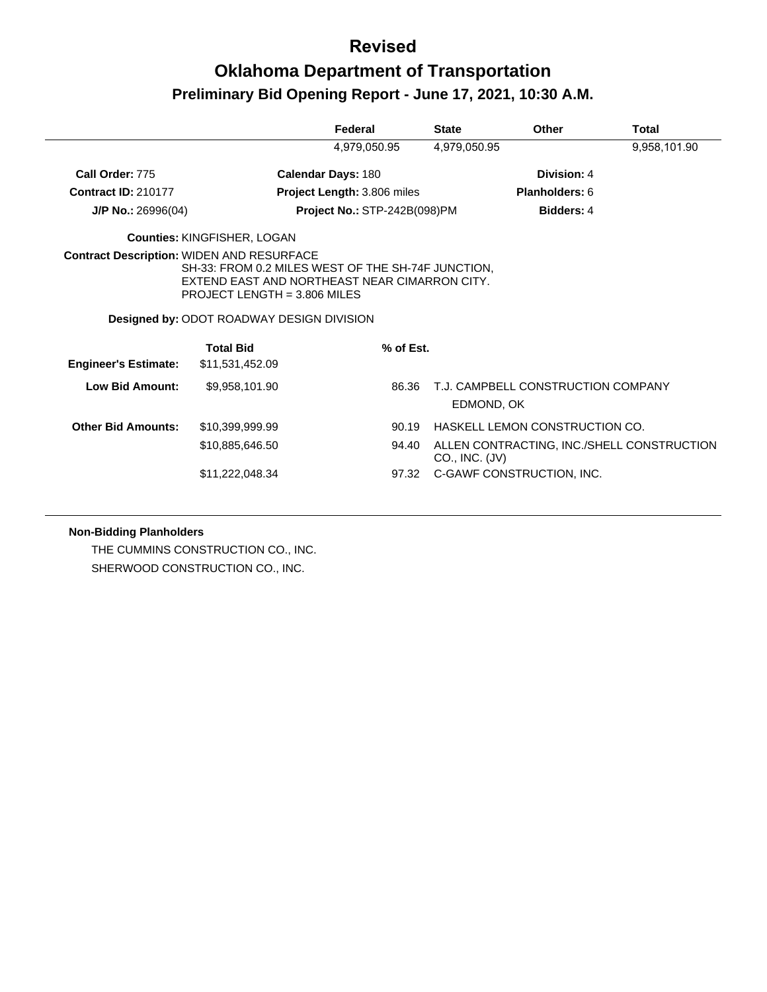## **Oklahoma Department of Transportation Preliminary Bid Opening Report - June 17, 2021, 10:30 A.M.**

|                             |                                                                                                                                                                                                                                               | Federal                      | <b>State</b>   | <b>Other</b>                               | Total        |
|-----------------------------|-----------------------------------------------------------------------------------------------------------------------------------------------------------------------------------------------------------------------------------------------|------------------------------|----------------|--------------------------------------------|--------------|
|                             |                                                                                                                                                                                                                                               | 4,979,050.95                 | 4,979,050.95   |                                            | 9,958,101.90 |
| Call Order: 775             |                                                                                                                                                                                                                                               | Calendar Days: 180           |                | Division: 4                                |              |
| <b>Contract ID: 210177</b>  |                                                                                                                                                                                                                                               | Project Length: 3.806 miles  |                | Planholders: 6                             |              |
| $J/P$ No.: 26996(04)        |                                                                                                                                                                                                                                               | Project No.: STP-242B(098)PM |                | <b>Bidders: 4</b>                          |              |
|                             | <b>Counties: KINGFISHER, LOGAN</b>                                                                                                                                                                                                            |                              |                |                                            |              |
|                             | <b>Contract Description: WIDEN AND RESURFACE</b><br>SH-33: FROM 0.2 MILES WEST OF THE SH-74F JUNCTION,<br>EXTEND EAST AND NORTHEAST NEAR CIMARRON CITY.<br>PROJECT LENGTH = $3.806$ MILES<br><b>Designed by: ODOT ROADWAY DESIGN DIVISION</b> |                              |                |                                            |              |
|                             | <b>Total Bid</b>                                                                                                                                                                                                                              | % of Est.                    |                |                                            |              |
| <b>Engineer's Estimate:</b> | \$11,531,452.09                                                                                                                                                                                                                               |                              |                |                                            |              |
| <b>Low Bid Amount:</b>      | \$9,958,101.90                                                                                                                                                                                                                                | 86.36                        | EDMOND, OK     | T.J. CAMPBELL CONSTRUCTION COMPANY         |              |
| <b>Other Bid Amounts:</b>   | \$10,399,999.99                                                                                                                                                                                                                               | 90.19                        |                | HASKELL LEMON CONSTRUCTION CO.             |              |
|                             | \$10,885,646.50                                                                                                                                                                                                                               | 94.40                        | CO., INC. (JV) | ALLEN CONTRACTING, INC./SHELL CONSTRUCTION |              |
|                             | \$11,222,048.34                                                                                                                                                                                                                               | 97.32                        |                | C-GAWF CONSTRUCTION, INC.                  |              |

#### **Non-Bidding Planholders**

THE CUMMINS CONSTRUCTION CO., INC. SHERWOOD CONSTRUCTION CO., INC.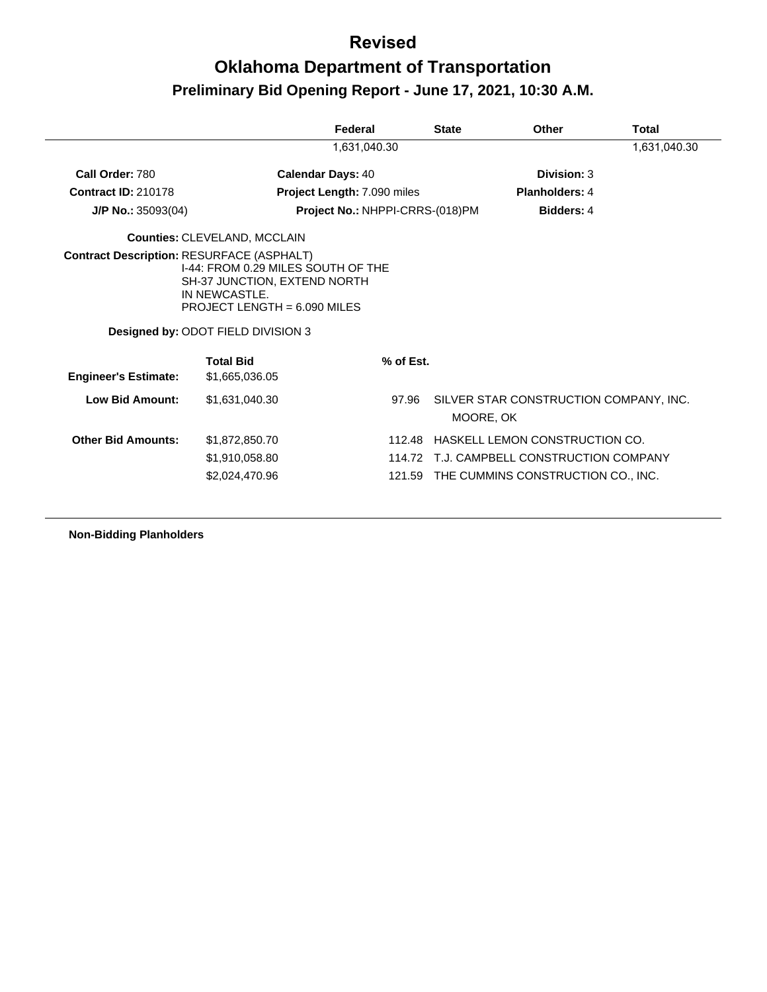## **Oklahoma Department of Transportation Preliminary Bid Opening Report - June 17, 2021, 10:30 A.M.**

|                                                  |                                                                                                                                                             | Federal                         |           | <b>State</b>      | Other                                  | Total        |
|--------------------------------------------------|-------------------------------------------------------------------------------------------------------------------------------------------------------------|---------------------------------|-----------|-------------------|----------------------------------------|--------------|
|                                                  |                                                                                                                                                             | 1,631,040.30                    |           |                   |                                        | 1,631,040.30 |
| Call Order: 780                                  | <b>Calendar Days: 40</b>                                                                                                                                    |                                 |           |                   | Division: 3                            |              |
| <b>Contract ID: 210178</b>                       |                                                                                                                                                             | Project Length: 7.090 miles     |           |                   | <b>Planholders: 4</b>                  |              |
| $J/P$ No.: 35093(04)                             |                                                                                                                                                             | Project No.: NHPPI-CRRS-(018)PM |           | <b>Bidders: 4</b> |                                        |              |
|                                                  | <b>Counties: CLEVELAND, MCCLAIN</b>                                                                                                                         |                                 |           |                   |                                        |              |
| <b>Contract Description: RESURFACE (ASPHALT)</b> | I-44: FROM 0.29 MILES SOUTH OF THE<br>SH-37 JUNCTION, EXTEND NORTH<br>IN NEWCASTLE.<br>PROJECT LENGTH = $6.090$ MILES<br>Designed by: ODOT FIELD DIVISION 3 |                                 |           |                   |                                        |              |
| <b>Engineer's Estimate:</b>                      | <b>Total Bid</b><br>\$1,665,036.05                                                                                                                          |                                 | % of Est. |                   |                                        |              |
| Low Bid Amount:                                  | \$1.631.040.30                                                                                                                                              |                                 | 97.96     | MOORE, OK         | SILVER STAR CONSTRUCTION COMPANY, INC. |              |
| <b>Other Bid Amounts:</b>                        | \$1,872,850.70                                                                                                                                              |                                 | 112.48    |                   | HASKELL LEMON CONSTRUCTION CO.         |              |
|                                                  | \$1,910,058.80                                                                                                                                              |                                 | 114.72    |                   | T.J. CAMPBELL CONSTRUCTION COMPANY     |              |
|                                                  | \$2,024,470.96                                                                                                                                              |                                 | 121.59    |                   | THE CUMMINS CONSTRUCTION CO., INC.     |              |

**Non-Bidding Planholders**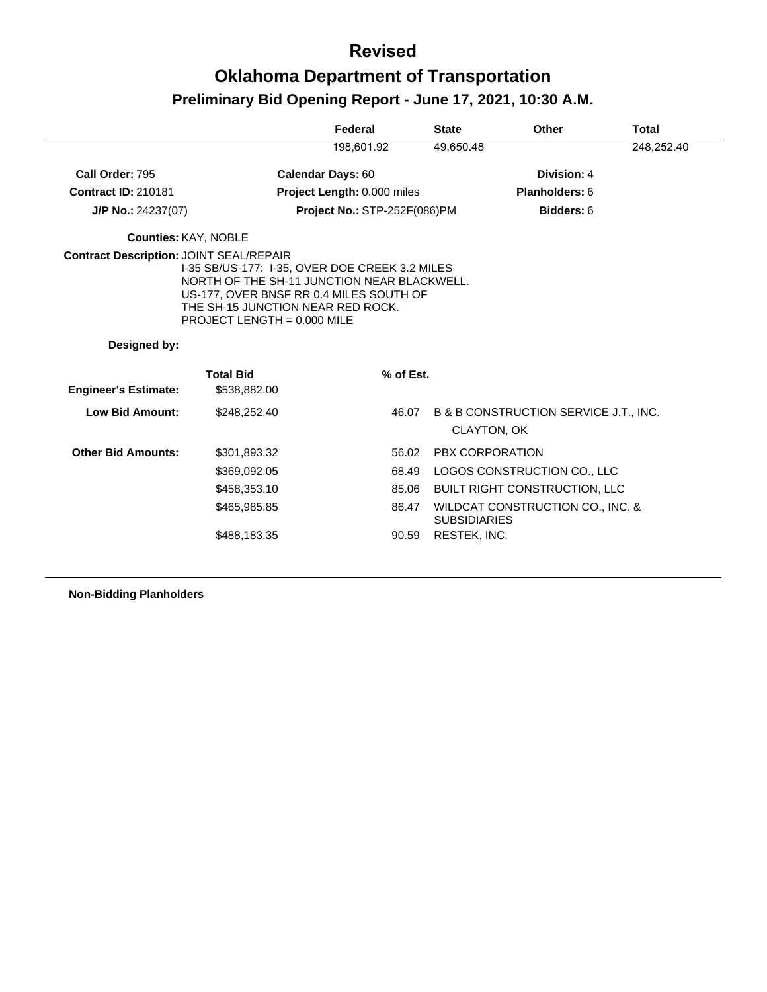|                                                |                                                                                                                                                                                                                | Federal                      | <b>State</b>           | <b>Other</b>                                         | <b>Total</b> |
|------------------------------------------------|----------------------------------------------------------------------------------------------------------------------------------------------------------------------------------------------------------------|------------------------------|------------------------|------------------------------------------------------|--------------|
|                                                |                                                                                                                                                                                                                | 198,601.92                   | 49,650.48              |                                                      | 248,252.40   |
| Call Order: 795                                |                                                                                                                                                                                                                | Calendar Days: 60            |                        | Division: 4                                          |              |
| <b>Contract ID: 210181</b>                     |                                                                                                                                                                                                                | Project Length: 0.000 miles  |                        | Planholders: 6                                       |              |
| $J/P$ No.: 24237(07)                           |                                                                                                                                                                                                                | Project No.: STP-252F(086)PM |                        | Bidders: 6                                           |              |
| <b>Counties: KAY, NOBLE</b>                    |                                                                                                                                                                                                                |                              |                        |                                                      |              |
| <b>Contract Description: JOINT SEAL/REPAIR</b> | 1-35 SB/US-177: 1-35, OVER DOE CREEK 3.2 MILES<br>NORTH OF THE SH-11 JUNCTION NEAR BLACKWELL.<br>US-177, OVER BNSF RR 0.4 MILES SOUTH OF<br>THE SH-15 JUNCTION NEAR RED ROCK.<br>PROJECT LENGTH = $0.000$ MILE |                              |                        |                                                      |              |
| Designed by:                                   |                                                                                                                                                                                                                |                              |                        |                                                      |              |
|                                                | <b>Total Bid</b>                                                                                                                                                                                               | % of Est.                    |                        |                                                      |              |
| <b>Engineer's Estimate:</b>                    | \$538,882.00                                                                                                                                                                                                   |                              |                        |                                                      |              |
| <b>Low Bid Amount:</b>                         | \$248,252.40                                                                                                                                                                                                   | 46.07                        |                        | B & B CONSTRUCTION SERVICE J.T., INC.<br>CLAYTON, OK |              |
| <b>Other Bid Amounts:</b>                      | \$301,893.32                                                                                                                                                                                                   | 56.02                        | <b>PBX CORPORATION</b> |                                                      |              |
|                                                | \$369,092.05                                                                                                                                                                                                   | 68.49                        |                        | LOGOS CONSTRUCTION CO., LLC                          |              |
|                                                | \$458,353.10                                                                                                                                                                                                   | 85.06                        |                        | BUILT RIGHT CONSTRUCTION, LLC                        |              |
|                                                | \$465,985.85                                                                                                                                                                                                   | 86.47                        | <b>SUBSIDIARIES</b>    | WILDCAT CONSTRUCTION CO., INC. &                     |              |
|                                                | \$488,183.35                                                                                                                                                                                                   | 90.59                        | RESTEK, INC.           |                                                      |              |

**Non-Bidding Planholders**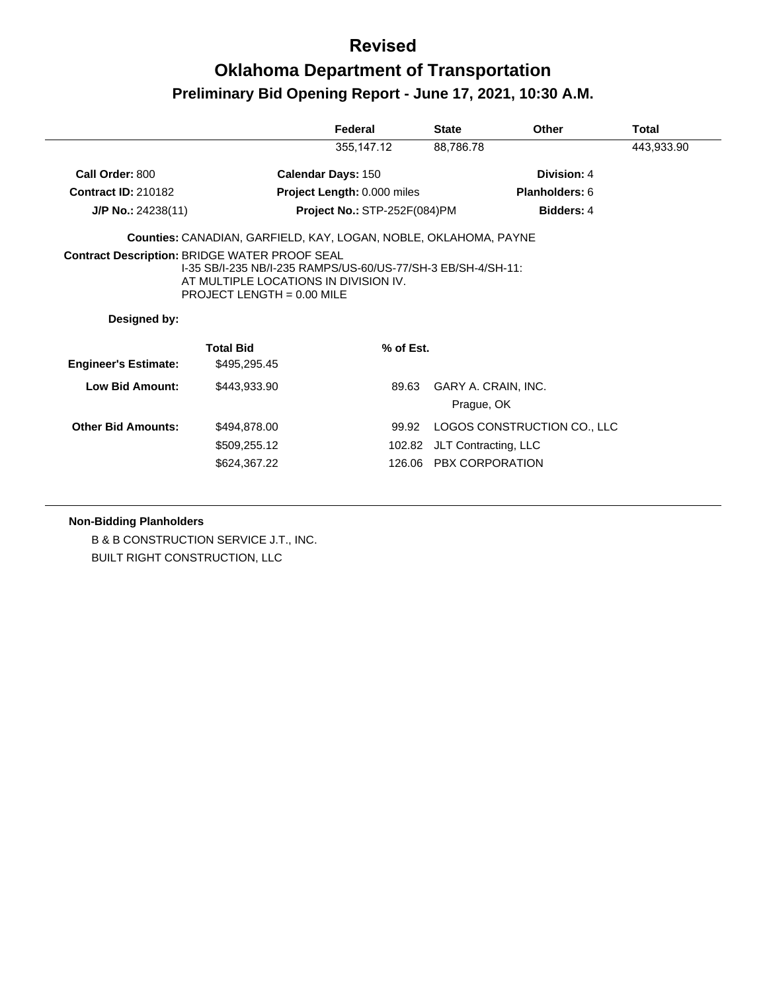## **Oklahoma Department of Transportation Preliminary Bid Opening Report - June 17, 2021, 10:30 A.M.**

|                             |                                                                                                                                       | Federal                      | <b>State</b>                      | Other                       | Total      |
|-----------------------------|---------------------------------------------------------------------------------------------------------------------------------------|------------------------------|-----------------------------------|-----------------------------|------------|
|                             |                                                                                                                                       | 355,147.12                   | 88,786.78                         |                             | 443,933.90 |
| Call Order: 800             |                                                                                                                                       | <b>Calendar Days: 150</b>    |                                   | Division: 4                 |            |
| <b>Contract ID: 210182</b>  |                                                                                                                                       | Project Length: 0.000 miles  |                                   | Planholders: 6              |            |
| J/P No.: 24238(11)          |                                                                                                                                       | Project No.: STP-252F(084)PM |                                   | Bidders: 4                  |            |
|                             | Counties: CANADIAN, GARFIELD, KAY, LOGAN, NOBLE, OKLAHOMA, PAYNE                                                                      |                              |                                   |                             |            |
| Designed by:                | 1-35 SB/I-235 NB/I-235 RAMPS/US-60/US-77/SH-3 EB/SH-4/SH-11:<br>AT MULTIPLE LOCATIONS IN DIVISION IV.<br>PROJECT LENGTH = $0.00$ MILE |                              |                                   |                             |            |
| <b>Engineer's Estimate:</b> | <b>Total Bid</b><br>\$495,295.45                                                                                                      | % of Est.                    |                                   |                             |            |
|                             |                                                                                                                                       |                              |                                   |                             |            |
| Low Bid Amount:             | \$443,933.90                                                                                                                          | 89.63                        | GARY A. CRAIN, INC.<br>Prague, OK |                             |            |
| <b>Other Bid Amounts:</b>   | \$494,878.00                                                                                                                          | 99.92                        |                                   | LOGOS CONSTRUCTION CO., LLC |            |
|                             | \$509,255.12                                                                                                                          | 102.82                       | JLT Contracting, LLC              |                             |            |
|                             | \$624,367.22                                                                                                                          |                              | 126.06 PBX CORPORATION            |                             |            |

**Non-Bidding Planholders**

B & B CONSTRUCTION SERVICE J.T., INC. BUILT RIGHT CONSTRUCTION, LLC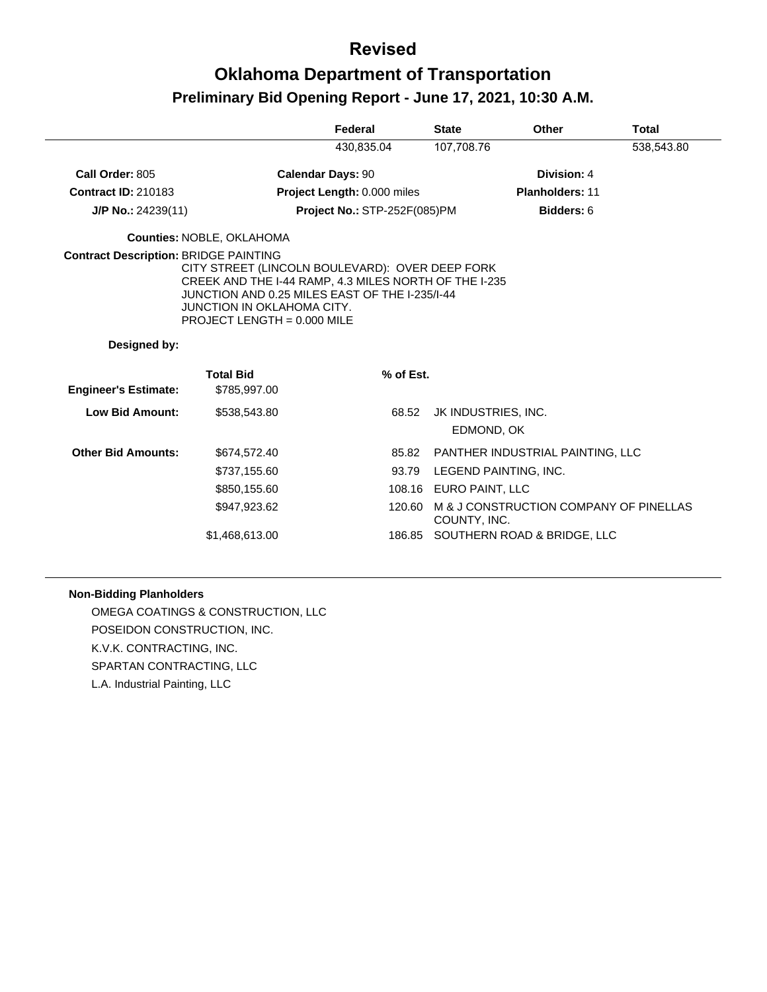## **Oklahoma Department of Transportation Preliminary Bid Opening Report - June 17, 2021, 10:30 A.M.**

|                                              |                                                                                                                                                                                                                           | Federal                             | <b>State</b>           | <b>Other</b>                           | <b>Total</b> |
|----------------------------------------------|---------------------------------------------------------------------------------------------------------------------------------------------------------------------------------------------------------------------------|-------------------------------------|------------------------|----------------------------------------|--------------|
|                                              |                                                                                                                                                                                                                           | 430,835.04                          | 107,708.76             |                                        | 538,543.80   |
| Call Order: 805                              |                                                                                                                                                                                                                           | <b>Calendar Days: 90</b>            |                        | Division: 4                            |              |
| <b>Contract ID: 210183</b>                   |                                                                                                                                                                                                                           | Project Length: 0.000 miles         |                        | <b>Planholders: 11</b>                 |              |
| $J/P$ No.: 24239(11)                         |                                                                                                                                                                                                                           | <b>Project No.: STP-252F(085)PM</b> |                        | Bidders: 6                             |              |
|                                              | <b>Counties: NOBLE, OKLAHOMA</b>                                                                                                                                                                                          |                                     |                        |                                        |              |
| <b>Contract Description: BRIDGE PAINTING</b> | CITY STREET (LINCOLN BOULEVARD): OVER DEEP FORK<br>CREEK AND THE I-44 RAMP, 4.3 MILES NORTH OF THE I-235<br>JUNCTION AND 0.25 MILES EAST OF THE I-235/I-44<br>JUNCTION IN OKLAHOMA CITY.<br>PROJECT LENGTH = $0.000$ MILE |                                     |                        |                                        |              |
| Designed by:                                 |                                                                                                                                                                                                                           |                                     |                        |                                        |              |
| <b>Engineer's Estimate:</b>                  | <b>Total Bid</b><br>\$785,997.00                                                                                                                                                                                          | % of Est.                           |                        |                                        |              |
| Low Bid Amount:                              | \$538,543.80                                                                                                                                                                                                              | 68.52                               |                        | JK INDUSTRIES, INC.<br>EDMOND, OK      |              |
| <b>Other Bid Amounts:</b>                    | \$674,572.40                                                                                                                                                                                                              | 85.82                               |                        | PANTHER INDUSTRIAL PAINTING, LLC       |              |
|                                              | \$737,155.60                                                                                                                                                                                                              | 93.79                               |                        | LEGEND PAINTING, INC.                  |              |
|                                              | \$850,155.60                                                                                                                                                                                                              |                                     | 108.16 EURO PAINT, LLC |                                        |              |
|                                              | \$947,923.62                                                                                                                                                                                                              | 120.60                              | COUNTY, INC.           | M & J CONSTRUCTION COMPANY OF PINELLAS |              |
|                                              | \$1,468,613.00                                                                                                                                                                                                            | 186.85                              |                        | SOUTHERN ROAD & BRIDGE, LLC            |              |

#### **Non-Bidding Planholders**

OMEGA COATINGS & CONSTRUCTION, LLC POSEIDON CONSTRUCTION, INC. K.V.K. CONTRACTING, INC. SPARTAN CONTRACTING, LLC L.A. Industrial Painting, LLC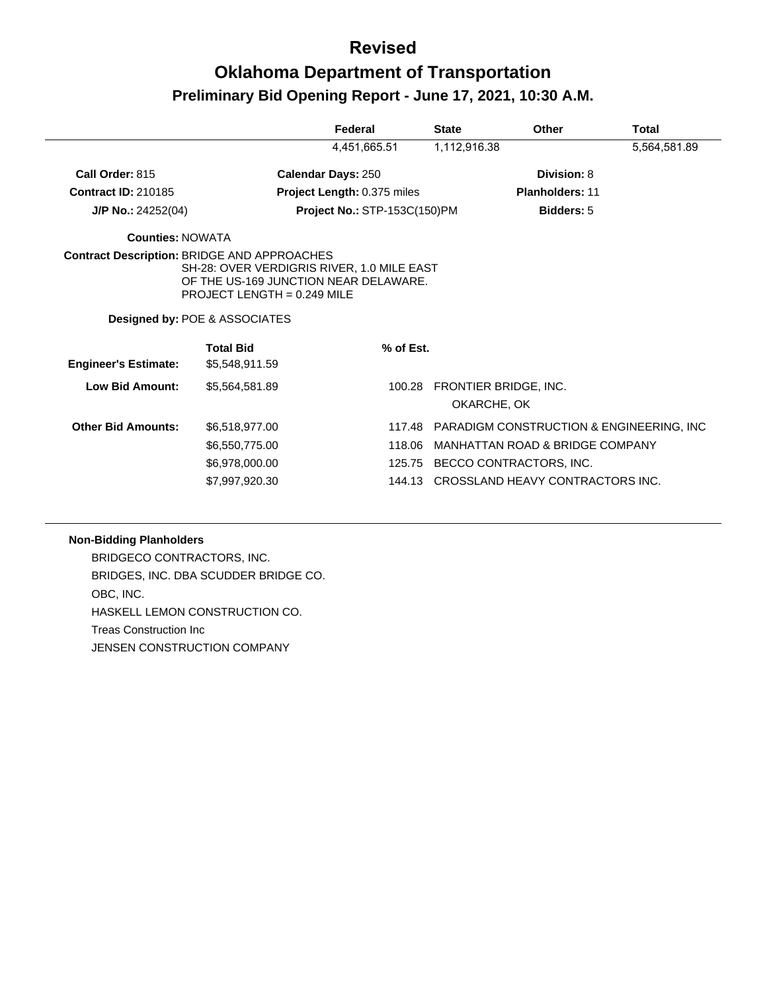## **Oklahoma Department of Transportation Preliminary Bid Opening Report - June 17, 2021, 10:30 A.M.**

|                             |                                                                                                                                                                                                             | Federal                             | <b>State</b> | Other                                    | Total        |
|-----------------------------|-------------------------------------------------------------------------------------------------------------------------------------------------------------------------------------------------------------|-------------------------------------|--------------|------------------------------------------|--------------|
|                             |                                                                                                                                                                                                             | 4,451,665.51                        | 1,112,916.38 |                                          | 5,564,581.89 |
| Call Order: 815             |                                                                                                                                                                                                             | <b>Calendar Days: 250</b>           |              | Division: 8                              |              |
| <b>Contract ID: 210185</b>  |                                                                                                                                                                                                             | Project Length: 0.375 miles         |              | <b>Planholders: 11</b>                   |              |
| $J/P$ No.: 24252(04)        |                                                                                                                                                                                                             | <b>Project No.: STP-153C(150)PM</b> |              | <b>Bidders: 5</b>                        |              |
| <b>Counties: NOWATA</b>     |                                                                                                                                                                                                             |                                     |              |                                          |              |
|                             | <b>Contract Description: BRIDGE AND APPROACHES</b><br>SH-28: OVER VERDIGRIS RIVER, 1.0 MILE EAST<br>OF THE US-169 JUNCTION NEAR DELAWARE.<br>PROJECT LENGTH = $0.249$ MILE<br>Designed by: POE & ASSOCIATES |                                     |              |                                          |              |
|                             | <b>Total Bid</b>                                                                                                                                                                                            | % of Est.                           |              |                                          |              |
| <b>Engineer's Estimate:</b> | \$5,548,911.59                                                                                                                                                                                              |                                     |              |                                          |              |
| <b>Low Bid Amount:</b>      | \$5,564,581.89                                                                                                                                                                                              | 100.28                              | OKARCHE, OK  | FRONTIER BRIDGE, INC.                    |              |
| <b>Other Bid Amounts:</b>   | \$6,518,977.00                                                                                                                                                                                              | 117.48                              |              | PARADIGM CONSTRUCTION & ENGINEERING, INC |              |
|                             | \$6,550,775.00                                                                                                                                                                                              | 118.06                              |              | MANHATTAN ROAD & BRIDGE COMPANY          |              |
|                             | \$6,978,000.00                                                                                                                                                                                              | 125.75                              |              | BECCO CONTRACTORS, INC.                  |              |

#### **Non-Bidding Planholders**

BRIDGECO CONTRACTORS, INC. BRIDGES, INC. DBA SCUDDER BRIDGE CO. OBC, INC. HASKELL LEMON CONSTRUCTION CO. Treas Construction Inc JENSEN CONSTRUCTION COMPANY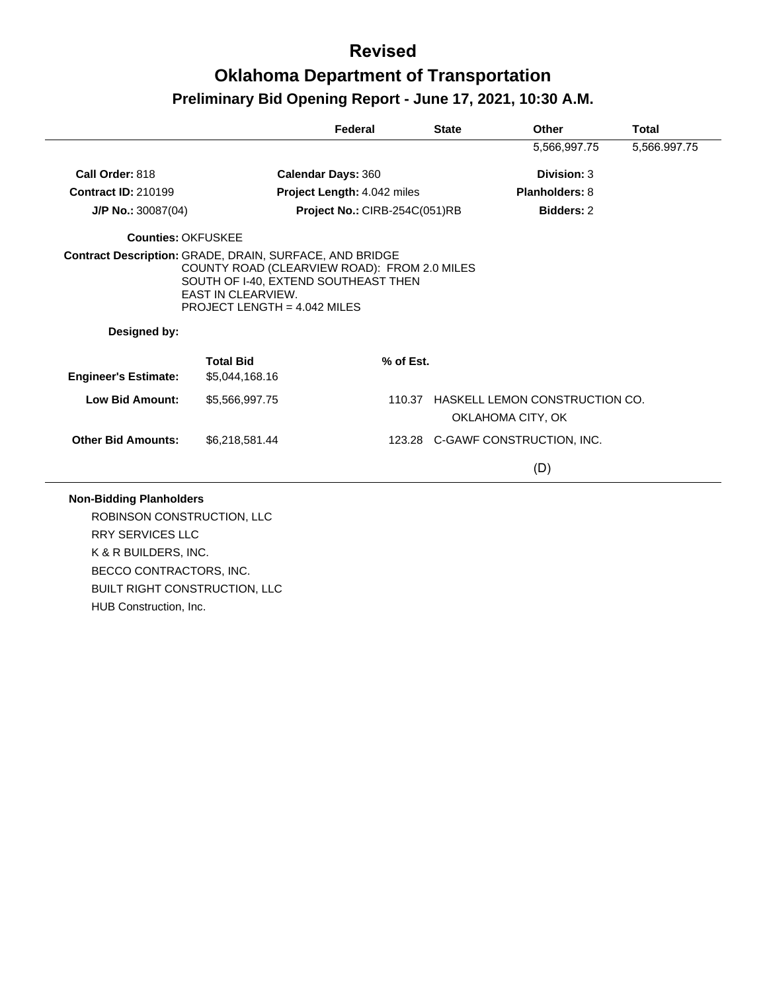|                             |                                                                                                                                                     | Federal                       | <b>State</b> | Other                                                      | Total        |
|-----------------------------|-----------------------------------------------------------------------------------------------------------------------------------------------------|-------------------------------|--------------|------------------------------------------------------------|--------------|
|                             |                                                                                                                                                     |                               |              | 5,566,997.75                                               | 5,566.997.75 |
| Call Order: 818             | <b>Calendar Days: 360</b>                                                                                                                           |                               |              | Division: 3                                                |              |
| <b>Contract ID: 210199</b>  |                                                                                                                                                     | Project Length: 4.042 miles   |              | <b>Planholders: 8</b>                                      |              |
| J/P No.: 30087(04)          |                                                                                                                                                     | Project No.: CIRB-254C(051)RB |              | <b>Bidders: 2</b>                                          |              |
| <b>Counties: OKFUSKEE</b>   |                                                                                                                                                     |                               |              |                                                            |              |
|                             | COUNTY ROAD (CLEARVIEW ROAD): FROM 2.0 MILES<br>SOUTH OF I-40, EXTEND SOUTHEAST THEN<br><b>EAST IN CLEARVIEW.</b><br>PROJECT LENGTH = $4.042$ MILES |                               |              |                                                            |              |
| Designed by:                |                                                                                                                                                     |                               |              |                                                            |              |
|                             | <b>Total Bid</b>                                                                                                                                    | % of Est.                     |              |                                                            |              |
| <b>Engineer's Estimate:</b> | \$5,044,168.16                                                                                                                                      |                               |              |                                                            |              |
| <b>Low Bid Amount:</b>      | \$5,566,997.75                                                                                                                                      | 110.37                        |              | <b>HASKELL LEMON CONSTRUCTION CO.</b><br>OKLAHOMA CITY, OK |              |
| <b>Other Bid Amounts:</b>   | \$6.218.581.44                                                                                                                                      |                               |              | 123.28 C-GAWF CONSTRUCTION, INC.                           |              |

#### **Non-Bidding Planholders**

ROBINSON CONSTRUCTION, LLC RRY SERVICES LLC K & R BUILDERS, INC. BECCO CONTRACTORS, INC. BUILT RIGHT CONSTRUCTION, LLC HUB Construction, Inc.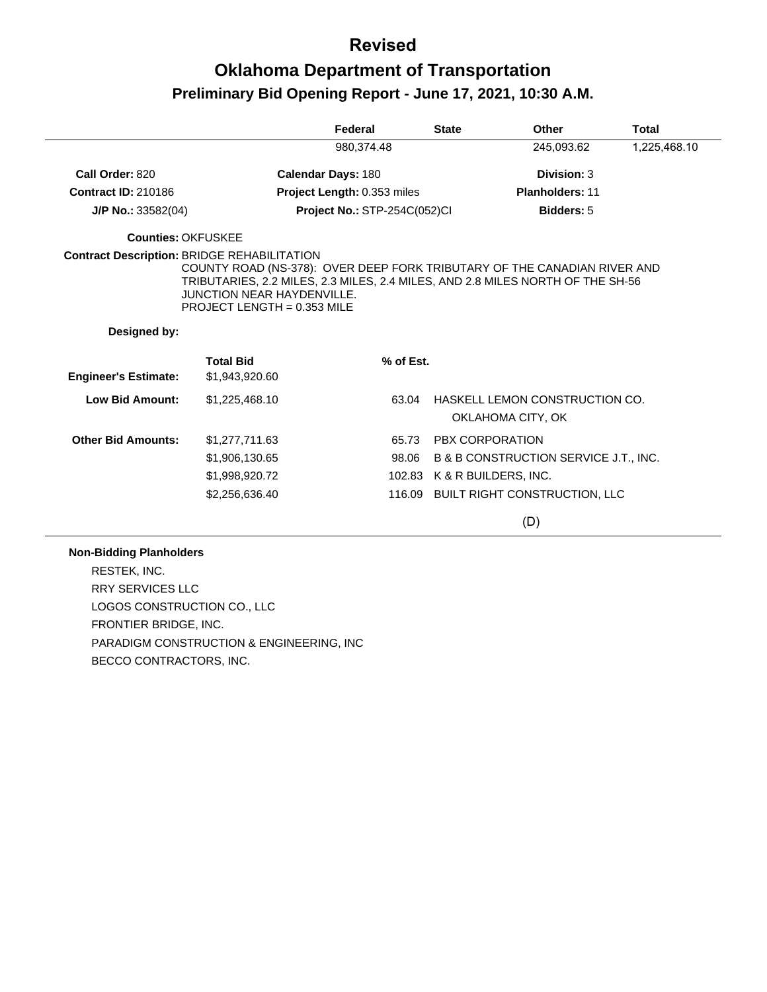## **Oklahoma Department of Transportation Preliminary Bid Opening Report - June 17, 2021, 10:30 A.M.**

|                             |                                                                                                                                                                                                                                  | Federal                      | <b>State</b>           | Other                                               | <b>Total</b> |
|-----------------------------|----------------------------------------------------------------------------------------------------------------------------------------------------------------------------------------------------------------------------------|------------------------------|------------------------|-----------------------------------------------------|--------------|
|                             |                                                                                                                                                                                                                                  | 980,374.48                   |                        | 245,093.62                                          | 1,225,468.10 |
| Call Order: 820             |                                                                                                                                                                                                                                  | Calendar Days: 180           |                        | Division: 3                                         |              |
| <b>Contract ID: 210186</b>  |                                                                                                                                                                                                                                  | Project Length: 0.353 miles  |                        | <b>Planholders: 11</b>                              |              |
| $J/P$ No.: 33582(04)        |                                                                                                                                                                                                                                  | Project No.: STP-254C(052)Cl |                        | Bidders: 5                                          |              |
| Counties: OKFUSKEE          |                                                                                                                                                                                                                                  |                              |                        |                                                     |              |
| Designed by:                | COUNTY ROAD (NS-378): OVER DEEP FORK TRIBUTARY OF THE CANADIAN RIVER AND<br>TRIBUTARIES, 2.2 MILES, 2.3 MILES, 2.4 MILES, AND 2.8 MILES NORTH OF THE SH-56<br><b>JUNCTION NEAR HAYDENVILLE.</b><br>PROJECT LENGTH = $0.353$ MILE |                              |                        |                                                     |              |
| <b>Engineer's Estimate:</b> | <b>Total Bid</b><br>\$1,943,920.60                                                                                                                                                                                               | % of Est.                    |                        |                                                     |              |
| <b>Low Bid Amount:</b>      | \$1,225,468.10                                                                                                                                                                                                                   | 63.04                        |                        | HASKELL LEMON CONSTRUCTION CO.<br>OKLAHOMA CITY, OK |              |
| <b>Other Bid Amounts:</b>   | \$1,277,711.63                                                                                                                                                                                                                   | 65.73                        | <b>PBX CORPORATION</b> |                                                     |              |
|                             | \$1,906,130.65                                                                                                                                                                                                                   | 98.06                        |                        | B & B CONSTRUCTION SERVICE J.T., INC.               |              |
|                             | \$1,998,920.72                                                                                                                                                                                                                   | 102.83                       |                        | K & R BUILDERS, INC.                                |              |
|                             | \$2,256,636.40                                                                                                                                                                                                                   | 116.09                       |                        | <b>BUILT RIGHT CONSTRUCTION, LLC</b>                |              |

(D)

#### **Non-Bidding Planholders**

RESTEK, INC. RRY SERVICES LLC LOGOS CONSTRUCTION CO., LLC FRONTIER BRIDGE, INC. PARADIGM CONSTRUCTION & ENGINEERING, INC BECCO CONTRACTORS, INC.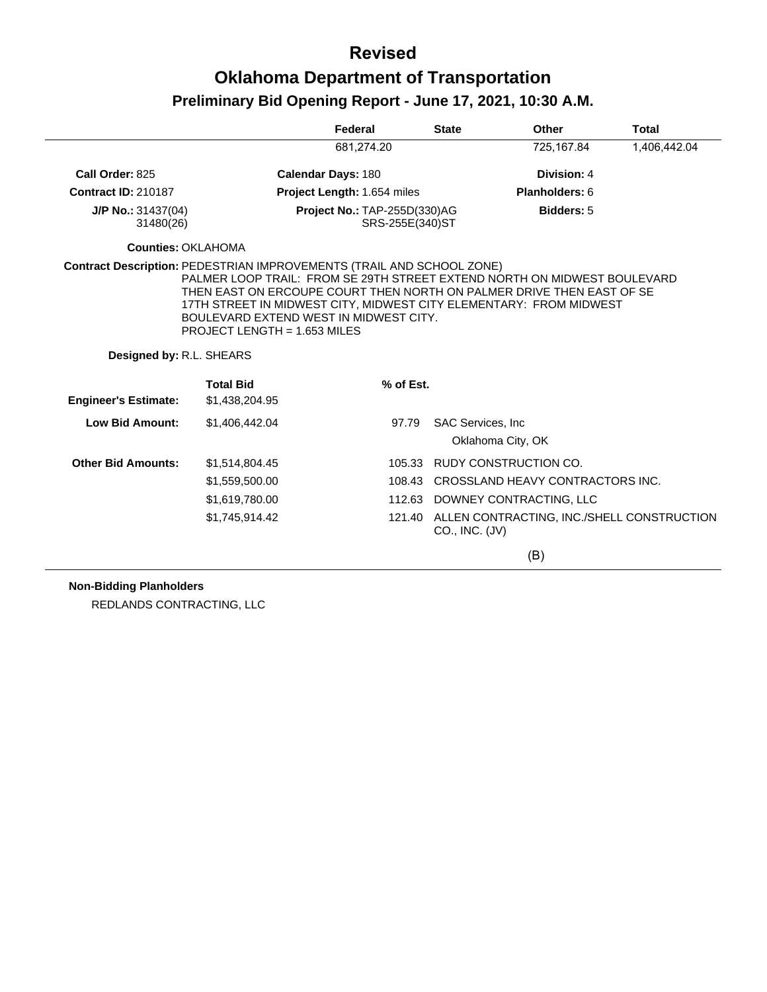|                                                                              |                                                                          | Federal                                         | <b>State</b>       | Other                                                                                                                                                                                                                   | <b>Total</b> |
|------------------------------------------------------------------------------|--------------------------------------------------------------------------|-------------------------------------------------|--------------------|-------------------------------------------------------------------------------------------------------------------------------------------------------------------------------------------------------------------------|--------------|
|                                                                              |                                                                          | 681,274.20                                      |                    | 725,167.84                                                                                                                                                                                                              | 1,406,442.04 |
| Call Order: 825                                                              |                                                                          | Calendar Days: 180                              |                    | Division: 4                                                                                                                                                                                                             |              |
| <b>Contract ID: 210187</b>                                                   |                                                                          | Project Length: 1.654 miles                     |                    | Planholders: 6                                                                                                                                                                                                          |              |
| $J/P$ No.: 31437(04)<br>31480(26)                                            |                                                                          | Project No.: TAP-255D(330)AG<br>SRS-255E(340)ST |                    | Bidders: 5                                                                                                                                                                                                              |              |
| <b>Counties: OKLAHOMA</b>                                                    |                                                                          |                                                 |                    |                                                                                                                                                                                                                         |              |
| <b>Contract Description: PEDESTRIAN IMPROVEMENTS (TRAIL AND SCHOOL ZONE)</b> | BOULEVARD EXTEND WEST IN MIDWEST CITY.<br>PROJECT LENGTH = $1.653$ MILES |                                                 |                    | PALMER LOOP TRAIL: FROM SE 29TH STREET EXTEND NORTH ON MIDWEST BOULEVARD<br>THEN EAST ON ERCOUPE COURT THEN NORTH ON PALMER DRIVE THEN EAST OF SE<br>17TH STREET IN MIDWEST CITY, MIDWEST CITY ELEMENTARY: FROM MIDWEST |              |
| Designed by: R.L. SHEARS                                                     |                                                                          |                                                 |                    |                                                                                                                                                                                                                         |              |
| <b>Engineer's Estimate:</b>                                                  | <b>Total Bid</b><br>\$1,438,204.95                                       | % of Est.                                       |                    |                                                                                                                                                                                                                         |              |
| <b>Low Bid Amount:</b>                                                       | \$1,406,442.04                                                           | 97.79                                           |                    | SAC Services, Inc.<br>Oklahoma City, OK                                                                                                                                                                                 |              |
| <b>Other Bid Amounts:</b>                                                    | \$1,514,804.45                                                           | 105.33                                          |                    | RUDY CONSTRUCTION CO.                                                                                                                                                                                                   |              |
|                                                                              | \$1,559,500.00                                                           | 108.43                                          |                    | CROSSLAND HEAVY CONTRACTORS INC.                                                                                                                                                                                        |              |
|                                                                              | \$1,619,780.00                                                           |                                                 |                    | 112.63 DOWNEY CONTRACTING, LLC                                                                                                                                                                                          |              |
|                                                                              | \$1,745,914.42                                                           | 121.40                                          | $CO.,$ INC. $(JV)$ | ALLEN CONTRACTING, INC./SHELL CONSTRUCTION                                                                                                                                                                              |              |
|                                                                              |                                                                          |                                                 |                    | (B)                                                                                                                                                                                                                     |              |

#### **Non-Bidding Planholders**

REDLANDS CONTRACTING, LLC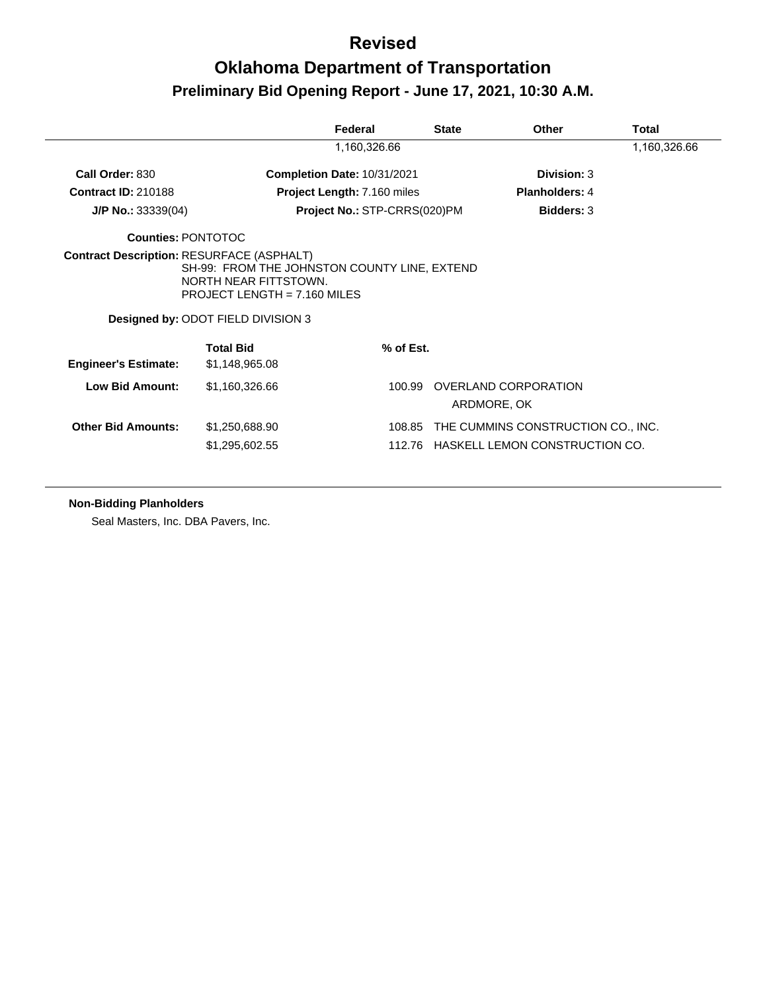## **Oklahoma Department of Transportation Preliminary Bid Opening Report - June 17, 2021, 10:30 A.M.**

|                                                  |                                                                                                                                               | Federal                            | <b>State</b> | Other                                                                | Total        |
|--------------------------------------------------|-----------------------------------------------------------------------------------------------------------------------------------------------|------------------------------------|--------------|----------------------------------------------------------------------|--------------|
|                                                  |                                                                                                                                               | 1,160,326.66                       |              |                                                                      | 1,160,326.66 |
| Call Order: 830                                  |                                                                                                                                               | Completion Date: 10/31/2021        |              | Division: 3                                                          |              |
| <b>Contract ID: 210188</b>                       |                                                                                                                                               | <b>Project Length: 7.160 miles</b> |              | <b>Planholders: 4</b>                                                |              |
| $J/P$ No.: 33339(04)                             |                                                                                                                                               | Project No.: STP-CRRS(020)PM       |              | <b>Bidders: 3</b>                                                    |              |
| <b>Counties: PONTOTOC</b>                        |                                                                                                                                               |                                    |              |                                                                      |              |
| <b>Contract Description: RESURFACE (ASPHALT)</b> | SH-99: FROM THE JOHNSTON COUNTY LINE, EXTEND<br>NORTH NEAR FITTSTOWN.<br>PROJECT LENGTH = $7.160$ MILES<br>Designed by: ODOT FIELD DIVISION 3 |                                    |              |                                                                      |              |
| <b>Engineer's Estimate:</b>                      | <b>Total Bid</b><br>\$1,148,965.08                                                                                                            | % of Est.                          |              |                                                                      |              |
| <b>Low Bid Amount:</b>                           | \$1,160,326.66                                                                                                                                | 100.99                             |              | OVERLAND CORPORATION<br>ARDMORE, OK                                  |              |
| <b>Other Bid Amounts:</b>                        | \$1,250,688.90<br>\$1,295,602.55                                                                                                              | 108.85<br>112.76                   |              | THE CUMMINS CONSTRUCTION CO., INC.<br>HASKELL LEMON CONSTRUCTION CO. |              |

#### **Non-Bidding Planholders**

Seal Masters, Inc. DBA Pavers, Inc.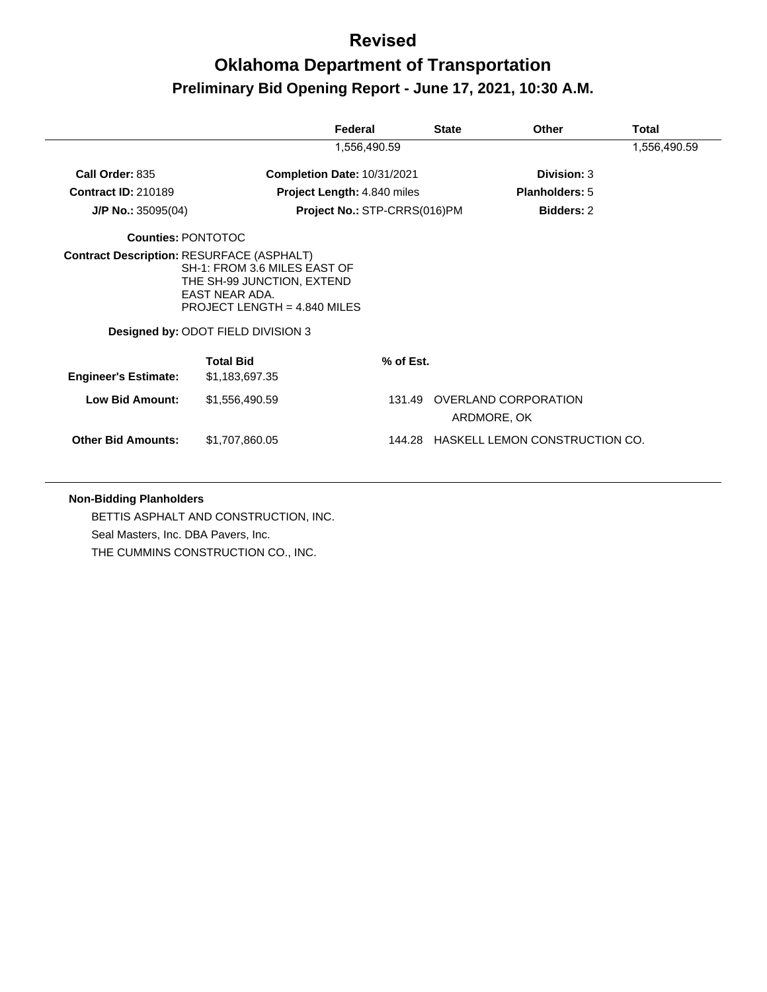## **Oklahoma Department of Transportation Preliminary Bid Opening Report - June 17, 2021, 10:30 A.M.**

|                                                  |                                                                                                                                                             | Federal                            | <b>State</b> | <b>Other</b>                          | Total        |
|--------------------------------------------------|-------------------------------------------------------------------------------------------------------------------------------------------------------------|------------------------------------|--------------|---------------------------------------|--------------|
|                                                  |                                                                                                                                                             | 1,556,490.59                       |              |                                       | 1,556,490.59 |
| Call Order: 835                                  |                                                                                                                                                             | Completion Date: 10/31/2021        |              | Division: 3                           |              |
| <b>Contract ID: 210189</b>                       |                                                                                                                                                             | <b>Project Length: 4.840 miles</b> |              | Planholders: 5                        |              |
| $J/P$ No.: 35095(04)                             |                                                                                                                                                             | Project No.: STP-CRRS(016)PM       |              | <b>Bidders: 2</b>                     |              |
| <b>Counties: PONTOTOC</b>                        |                                                                                                                                                             |                                    |              |                                       |              |
| <b>Contract Description: RESURFACE (ASPHALT)</b> | SH-1: FROM 3.6 MILES EAST OF<br>THE SH-99 JUNCTION, EXTEND<br><b>FAST NEAR ADA.</b><br>PROJECT LENGTH = $4.840$ MILES<br>Designed by: ODOT FIELD DIVISION 3 |                                    |              |                                       |              |
| <b>Engineer's Estimate:</b>                      | <b>Total Bid</b><br>\$1,183,697.35                                                                                                                          |                                    | % of Est.    |                                       |              |
| <b>Low Bid Amount:</b>                           | \$1,556,490.59                                                                                                                                              |                                    | 131.49       | OVERLAND CORPORATION<br>ARDMORE, OK   |              |
| <b>Other Bid Amounts:</b>                        | \$1,707,860.05                                                                                                                                              |                                    |              | 144.28 HASKELL LEMON CONSTRUCTION CO. |              |

#### **Non-Bidding Planholders**

BETTIS ASPHALT AND CONSTRUCTION, INC. Seal Masters, Inc. DBA Pavers, Inc. THE CUMMINS CONSTRUCTION CO., INC.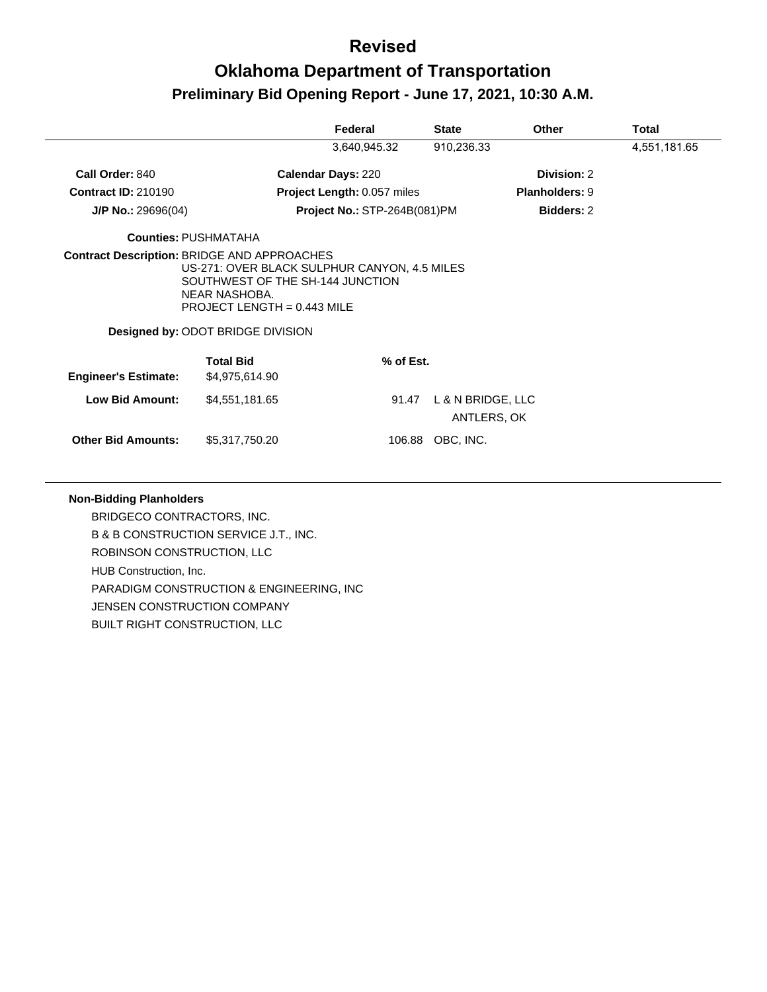## **Oklahoma Department of Transportation Preliminary Bid Opening Report - June 17, 2021, 10:30 A.M.**

|                             |                                                                                                                                                                         | Federal                             | <b>State</b>                     | Other                 | Total        |
|-----------------------------|-------------------------------------------------------------------------------------------------------------------------------------------------------------------------|-------------------------------------|----------------------------------|-----------------------|--------------|
|                             |                                                                                                                                                                         | 3,640,945.32                        | 910,236.33                       |                       | 4,551,181.65 |
| Call Order: 840             | <b>Calendar Days: 220</b>                                                                                                                                               |                                     |                                  | Division: 2           |              |
| <b>Contract ID: 210190</b>  |                                                                                                                                                                         | Project Length: 0.057 miles         |                                  | <b>Planholders: 9</b> |              |
| $J/P$ No.: 29696(04)        |                                                                                                                                                                         | <b>Project No.: STP-264B(081)PM</b> |                                  | <b>Bidders: 2</b>     |              |
|                             | <b>Counties: PUSHMATAHA</b>                                                                                                                                             |                                     |                                  |                       |              |
|                             | US-271: OVER BLACK SULPHUR CANYON, 4.5 MILES<br>SOUTHWEST OF THE SH-144 JUNCTION<br>NEAR NASHOBA.<br>PROJECT LENGTH = $0.443$ MILE<br>Designed by: ODOT BRIDGE DIVISION |                                     |                                  |                       |              |
|                             | <b>Total Bid</b>                                                                                                                                                        | % of Est.                           |                                  |                       |              |
| <b>Engineer's Estimate:</b> | \$4,975,614.90                                                                                                                                                          |                                     |                                  |                       |              |
| <b>Low Bid Amount:</b>      | \$4,551,181.65                                                                                                                                                          | 91.47                               | L & N BRIDGE, LLC<br>ANTLERS, OK |                       |              |
| <b>Other Bid Amounts:</b>   | \$5,317,750.20                                                                                                                                                          | 106.88                              | OBC, INC.                        |                       |              |

#### **Non-Bidding Planholders**

BRIDGECO CONTRACTORS, INC. B & B CONSTRUCTION SERVICE J.T., INC. ROBINSON CONSTRUCTION, LLC HUB Construction, Inc. PARADIGM CONSTRUCTION & ENGINEERING, INC JENSEN CONSTRUCTION COMPANY BUILT RIGHT CONSTRUCTION, LLC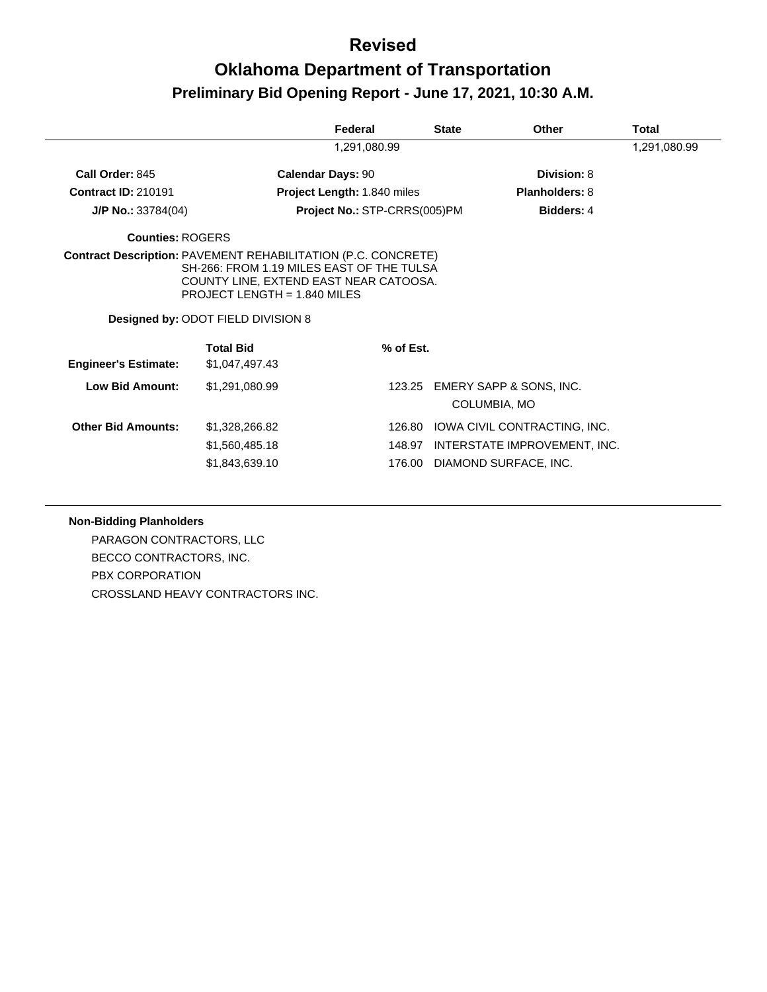## **Oklahoma Department of Transportation Preliminary Bid Opening Report - June 17, 2021, 10:30 A.M.**

|                             |                                                                                                                                                                                                                                            | Federal                      | <b>State</b> | Other                                   | Total        |
|-----------------------------|--------------------------------------------------------------------------------------------------------------------------------------------------------------------------------------------------------------------------------------------|------------------------------|--------------|-----------------------------------------|--------------|
|                             |                                                                                                                                                                                                                                            | 1,291,080.99                 |              |                                         | 1,291,080.99 |
| Call Order: 845             |                                                                                                                                                                                                                                            | <b>Calendar Days: 90</b>     |              | Division: 8                             |              |
| <b>Contract ID: 210191</b>  |                                                                                                                                                                                                                                            | Project Length: 1.840 miles  |              | <b>Planholders: 8</b>                   |              |
| $J/P$ No.: 33784(04)        |                                                                                                                                                                                                                                            | Project No.: STP-CRRS(005)PM |              | <b>Bidders: 4</b>                       |              |
| Counties: ROGERS            |                                                                                                                                                                                                                                            |                              |              |                                         |              |
|                             | <b>Contract Description: PAVEMENT REHABILITATION (P.C. CONCRETE)</b><br>SH-266: FROM 1.19 MILES EAST OF THE TULSA<br>COUNTY LINE, EXTEND EAST NEAR CATOOSA.<br>PROJECT LENGTH = $1.840$ MILES<br><b>Designed by: ODOT FIELD DIVISION 8</b> |                              |              |                                         |              |
| <b>Engineer's Estimate:</b> | <b>Total Bid</b><br>\$1,047,497.43                                                                                                                                                                                                         |                              | % of Est.    |                                         |              |
| <b>Low Bid Amount:</b>      | \$1,291,080.99                                                                                                                                                                                                                             |                              | 123.25       | EMERY SAPP & SONS, INC.<br>COLUMBIA, MO |              |
| <b>Other Bid Amounts:</b>   | \$1,328,266.82                                                                                                                                                                                                                             |                              | 126.80       | IOWA CIVIL CONTRACTING, INC.            |              |
|                             | \$1,560,485.18                                                                                                                                                                                                                             |                              | 148.97       | INTERSTATE IMPROVEMENT, INC.            |              |
|                             | \$1,843,639.10                                                                                                                                                                                                                             |                              | 176.00       | DIAMOND SURFACE, INC.                   |              |

#### **Non-Bidding Planholders**

PARAGON CONTRACTORS, LLC BECCO CONTRACTORS, INC. PBX CORPORATION CROSSLAND HEAVY CONTRACTORS INC.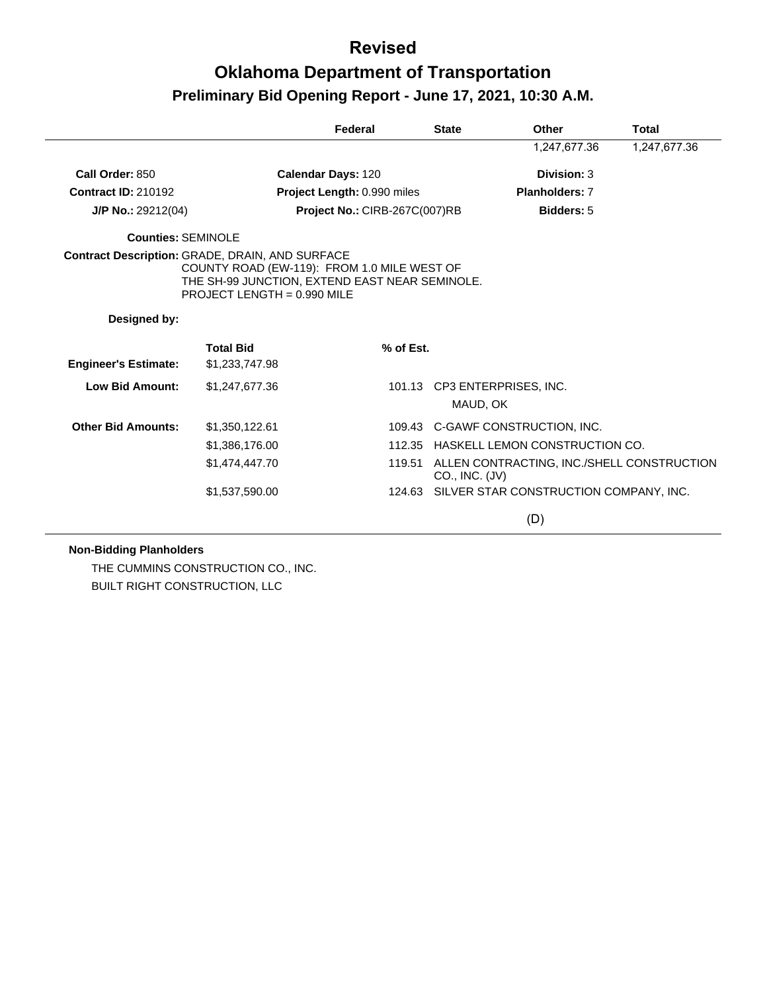# **Oklahoma Department of Transportation Preliminary Bid Opening Report - June 17, 2021, 10:30 A.M.**

|                                                 |                                                                                                                                | Federal                       |        | <b>State</b>   | Other                                         | Total        |
|-------------------------------------------------|--------------------------------------------------------------------------------------------------------------------------------|-------------------------------|--------|----------------|-----------------------------------------------|--------------|
|                                                 |                                                                                                                                |                               |        |                | 1,247,677.36                                  | 1,247,677.36 |
| Call Order: 850                                 |                                                                                                                                | <b>Calendar Days: 120</b>     |        |                | Division: 3                                   |              |
| <b>Contract ID: 210192</b>                      |                                                                                                                                | Project Length: 0.990 miles   |        |                | <b>Planholders: 7</b>                         |              |
| $J/P$ No.: 29212(04)                            |                                                                                                                                | Project No.: CIRB-267C(007)RB |        |                | <b>Bidders: 5</b>                             |              |
| <b>Counties: SEMINOLE</b>                       |                                                                                                                                |                               |        |                |                                               |              |
| Contract Description: GRADE, DRAIN, AND SURFACE | COUNTY ROAD (EW-119): FROM 1.0 MILE WEST OF<br>THE SH-99 JUNCTION, EXTEND EAST NEAR SEMINOLE.<br>PROJECT LENGTH = $0.990$ MILE |                               |        |                |                                               |              |
| Designed by:                                    |                                                                                                                                |                               |        |                |                                               |              |
| <b>Engineer's Estimate:</b>                     | <b>Total Bid</b><br>\$1,233,747.98                                                                                             | % of Est.                     |        |                |                                               |              |
| <b>Low Bid Amount:</b>                          | \$1,247,677.36                                                                                                                 |                               |        | MAUD, OK       | 101.13 CP3 ENTERPRISES, INC.                  |              |
| <b>Other Bid Amounts:</b>                       | \$1,350,122.61                                                                                                                 |                               |        |                | 109.43 C-GAWF CONSTRUCTION, INC.              |              |
|                                                 | \$1,386,176.00                                                                                                                 |                               |        |                | 112.35 HASKELL LEMON CONSTRUCTION CO.         |              |
|                                                 | \$1,474,447.70                                                                                                                 |                               | 119.51 | CO., INC. (JV) | ALLEN CONTRACTING, INC./SHELL CONSTRUCTION    |              |
|                                                 | \$1,537,590.00                                                                                                                 |                               |        |                | 124.63 SILVER STAR CONSTRUCTION COMPANY, INC. |              |
|                                                 |                                                                                                                                |                               |        |                | (D)                                           |              |

#### **Non-Bidding Planholders**

THE CUMMINS CONSTRUCTION CO., INC. BUILT RIGHT CONSTRUCTION, LLC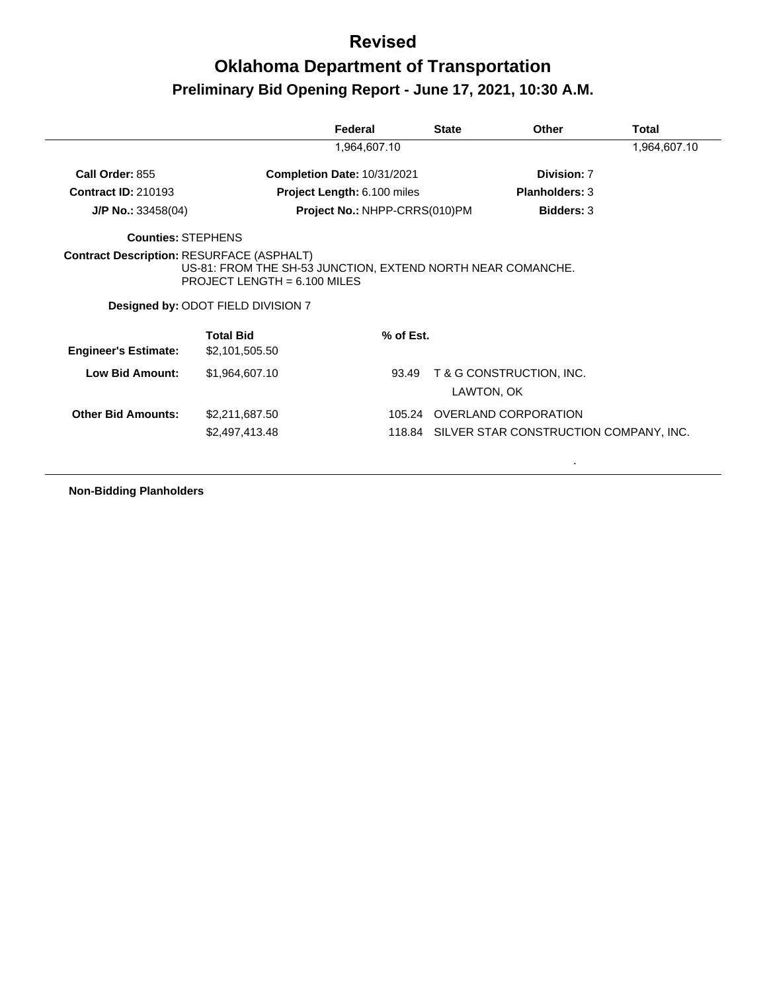| 1,964,607.10<br>Call Order: 855<br>Completion Date: 10/31/2021<br>Division: 7<br><b>Contract ID: 210193</b><br><b>Planholders: 3</b><br><b>Project Length: 6.100 miles</b><br>Project No.: NHPP-CRRS(010)PM<br><b>Bidders: 3</b><br>$J/P$ No.: 33458(04)<br><b>Counties: STEPHENS</b><br><b>Contract Description: RESURFACE (ASPHALT)</b><br>US-81: FROM THE SH-53 JUNCTION, EXTEND NORTH NEAR COMANCHE.<br>PROJECT LENGTH = $6.100$ MILES<br>Designed by: ODOT FIELD DIVISION 7<br><b>Total Bid</b><br>% of Est.<br><b>Engineer's Estimate:</b><br>\$2,101,505.50<br><b>Low Bid Amount:</b><br>\$1,964,607.10<br>T & G CONSTRUCTION, INC.<br>93.49<br>LAWTON, OK<br>105.24 OVERLAND CORPORATION<br><b>Other Bid Amounts:</b><br>\$2,211,687.50<br>118.84 SILVER STAR CONSTRUCTION COMPANY, INC.<br>\$2,497,413.48 |  | Federal | <b>State</b> | Other | <b>Total</b> |
|--------------------------------------------------------------------------------------------------------------------------------------------------------------------------------------------------------------------------------------------------------------------------------------------------------------------------------------------------------------------------------------------------------------------------------------------------------------------------------------------------------------------------------------------------------------------------------------------------------------------------------------------------------------------------------------------------------------------------------------------------------------------------------------------------------------------|--|---------|--------------|-------|--------------|
|                                                                                                                                                                                                                                                                                                                                                                                                                                                                                                                                                                                                                                                                                                                                                                                                                    |  |         |              |       | 1,964,607.10 |
|                                                                                                                                                                                                                                                                                                                                                                                                                                                                                                                                                                                                                                                                                                                                                                                                                    |  |         |              |       |              |
|                                                                                                                                                                                                                                                                                                                                                                                                                                                                                                                                                                                                                                                                                                                                                                                                                    |  |         |              |       |              |
|                                                                                                                                                                                                                                                                                                                                                                                                                                                                                                                                                                                                                                                                                                                                                                                                                    |  |         |              |       |              |
|                                                                                                                                                                                                                                                                                                                                                                                                                                                                                                                                                                                                                                                                                                                                                                                                                    |  |         |              |       |              |
|                                                                                                                                                                                                                                                                                                                                                                                                                                                                                                                                                                                                                                                                                                                                                                                                                    |  |         |              |       |              |
|                                                                                                                                                                                                                                                                                                                                                                                                                                                                                                                                                                                                                                                                                                                                                                                                                    |  |         |              |       |              |
|                                                                                                                                                                                                                                                                                                                                                                                                                                                                                                                                                                                                                                                                                                                                                                                                                    |  |         |              |       |              |
|                                                                                                                                                                                                                                                                                                                                                                                                                                                                                                                                                                                                                                                                                                                                                                                                                    |  |         |              |       |              |
|                                                                                                                                                                                                                                                                                                                                                                                                                                                                                                                                                                                                                                                                                                                                                                                                                    |  |         |              |       |              |

**Non-Bidding Planholders**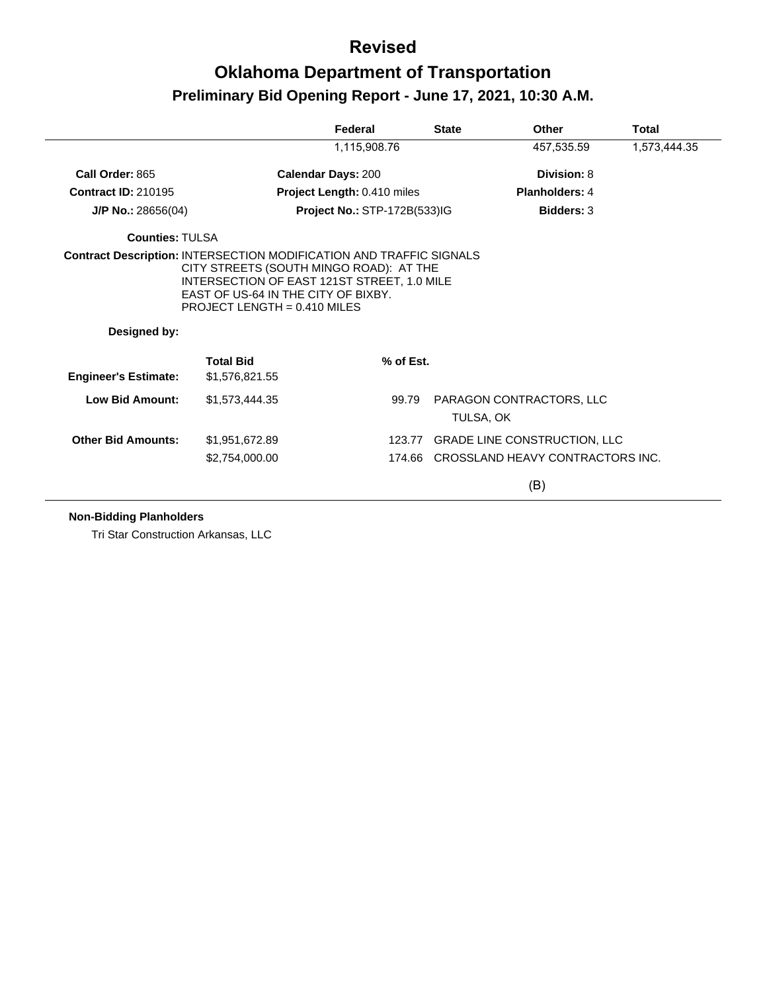# **Oklahoma Department of Transportation Preliminary Bid Opening Report - June 17, 2021, 10:30 A.M.**

|                             |                                                                                                                                                                 | Federal                             | <b>State</b> | Other                                   | <b>Total</b> |
|-----------------------------|-----------------------------------------------------------------------------------------------------------------------------------------------------------------|-------------------------------------|--------------|-----------------------------------------|--------------|
|                             |                                                                                                                                                                 | 1,115,908.76                        |              | 457,535.59                              | 1,573,444.35 |
| Call Order: 865             |                                                                                                                                                                 | <b>Calendar Days: 200</b>           |              | Division: 8                             |              |
| <b>Contract ID: 210195</b>  |                                                                                                                                                                 | Project Length: 0.410 miles         |              | Planholders: 4                          |              |
| $J/P$ No.: 28656(04)        |                                                                                                                                                                 | <b>Project No.: STP-172B(533)IG</b> |              | <b>Bidders: 3</b>                       |              |
| <b>Counties: TULSA</b>      |                                                                                                                                                                 |                                     |              |                                         |              |
| Designed by:                | CITY STREETS (SOUTH MINGO ROAD): AT THE<br>INTERSECTION OF EAST 121ST STREET, 1.0 MILE<br>EAST OF US-64 IN THE CITY OF BIXBY.<br>PROJECT LENGTH = $0.410$ MILES |                                     |              |                                         |              |
| <b>Engineer's Estimate:</b> | <b>Total Bid</b><br>\$1,576,821.55                                                                                                                              | % of Est.                           |              |                                         |              |
| <b>Low Bid Amount:</b>      | \$1,573,444.35                                                                                                                                                  | 99.79                               |              | PARAGON CONTRACTORS, LLC<br>TULSA, OK   |              |
| <b>Other Bid Amounts:</b>   | \$1,951,672.89                                                                                                                                                  | 123.77                              |              | <b>GRADE LINE CONSTRUCTION, LLC</b>     |              |
|                             | \$2,754,000.00                                                                                                                                                  |                                     |              | 174.66 CROSSLAND HEAVY CONTRACTORS INC. |              |
|                             |                                                                                                                                                                 |                                     |              |                                         |              |

**Non-Bidding Planholders**

Tri Star Construction Arkansas, LLC